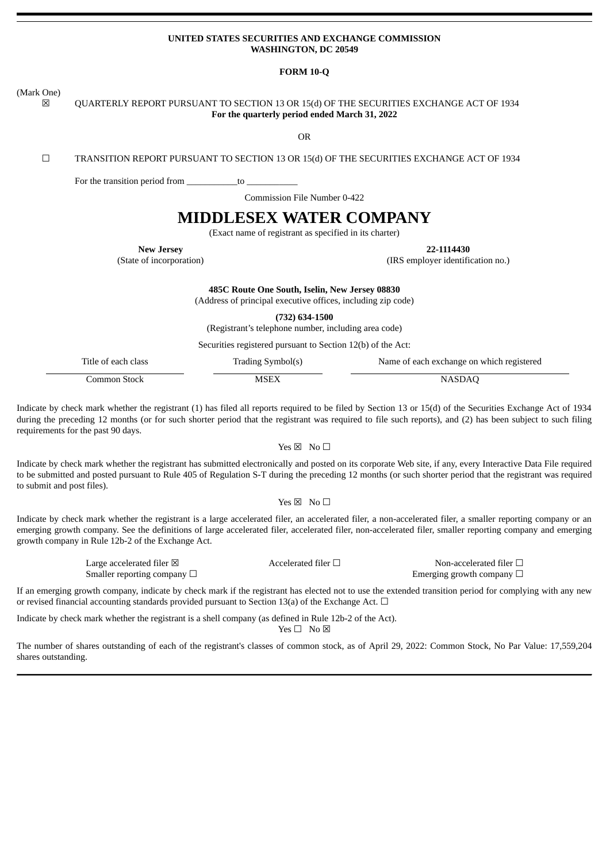## **UNITED STATES SECURITIES AND EXCHANGE COMMISSION WASHINGTON, DC 20549**

### **FORM 10-Q**

(Mark One)

☒ QUARTERLY REPORT PURSUANT TO SECTION 13 OR 15(d) OF THE SECURITIES EXCHANGE ACT OF 1934 **For the quarterly period ended March 31, 2022**

OR

☐ TRANSITION REPORT PURSUANT TO SECTION 13 OR 15(d) OF THE SECURITIES EXCHANGE ACT OF 1934

For the transition period from  $\qquad \qquad$  to

Commission File Number 0-422

# **MIDDLESEX WATER COMPANY**

(Exact name of registrant as specified in its charter)

**New Jersey 22-1114430**

(State of incorporation) (IRS employer identification no.)

**485C Route One South, Iselin, New Jersey 08830**

(Address of principal executive offices, including zip code)

**(732) 634-1500**

(Registrant's telephone number, including area code)

Securities registered pursuant to Section 12(b) of the Act:

| Title of each class | Trading Symbol(s) | Name of each exchange on which registered |
|---------------------|-------------------|-------------------------------------------|
| Common Stock        | <b>MSEX</b>       | <b>NASDAO</b>                             |

Indicate by check mark whether the registrant (1) has filed all reports required to be filed by Section 13 or 15(d) of the Securities Exchange Act of 1934 during the preceding 12 months (or for such shorter period that the registrant was required to file such reports), and (2) has been subject to such filing requirements for the past 90 days.

 $Yes \boxtimes \text{No } \Box$ 

Indicate by check mark whether the registrant has submitted electronically and posted on its corporate Web site, if any, every Interactive Data File required to be submitted and posted pursuant to Rule 405 of Regulation S-T during the preceding 12 months (or such shorter period that the registrant was required to submit and post files).

#### $Yes \boxtimes \text{No } \square$

Indicate by check mark whether the registrant is a large accelerated filer, an accelerated filer, a non-accelerated filer, a smaller reporting company or an emerging growth company. See the definitions of large accelerated filer, accelerated filer, non-accelerated filer, smaller reporting company and emerging growth company in Rule 12b-2 of the Exchange Act.

Smaller reporting company □ and state of the state of the state of the state of the state of the state of the state of the state of the state of the state of the state of the state of the state of the state of the state o

Large accelerated filer ⊠ Accelerated filer □ Non-accelerated filer □

If an emerging growth company, indicate by check mark if the registrant has elected not to use the extended transition period for complying with any new or revised financial accounting standards provided pursuant to Section 13(a) of the Exchange Act.  $\Box$ 

Indicate by check mark whether the registrant is a shell company (as defined in Rule 12b-2 of the Act).

Yes □ No ⊠

The number of shares outstanding of each of the registrant's classes of common stock, as of April 29, 2022: Common Stock, No Par Value: 17,559,204 shares outstanding.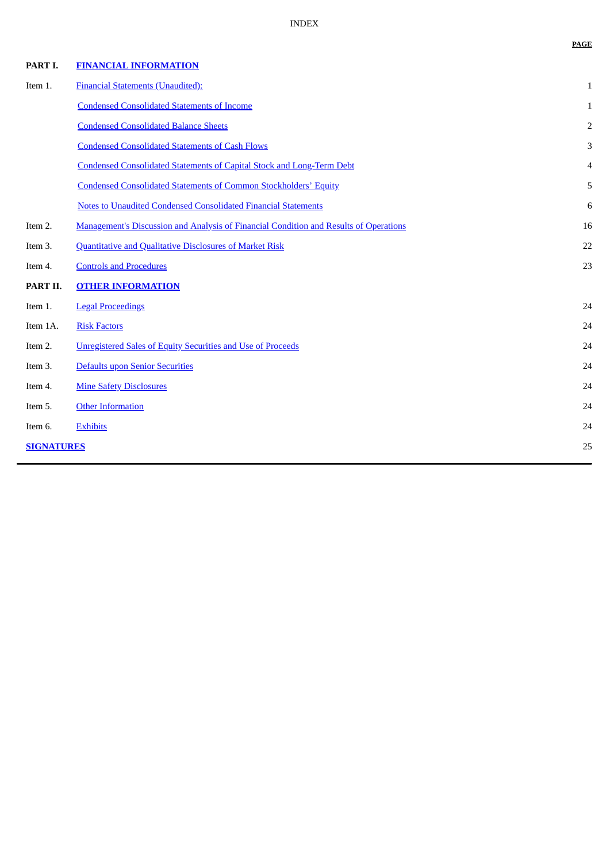<span id="page-1-0"></span>

| PART I.           | <b>FINANCIAL INFORMATION</b>                                                          |                |
|-------------------|---------------------------------------------------------------------------------------|----------------|
| Item 1.           | <b>Financial Statements (Unaudited):</b>                                              | $\mathbf{1}$   |
|                   | <b>Condensed Consolidated Statements of Income</b>                                    | $\mathbf{1}$   |
|                   | <b>Condensed Consolidated Balance Sheets</b>                                          | $\overline{2}$ |
|                   | <b>Condensed Consolidated Statements of Cash Flows</b>                                | 3              |
|                   | <b>Condensed Consolidated Statements of Capital Stock and Long-Term Debt</b>          | $\overline{4}$ |
|                   | <b>Condensed Consolidated Statements of Common Stockholders' Equity</b>               | 5              |
|                   | <b>Notes to Unaudited Condensed Consolidated Financial Statements</b>                 | 6              |
| Item 2.           | Management's Discussion and Analysis of Financial Condition and Results of Operations | 16             |
| Item 3.           | <b>Quantitative and Qualitative Disclosures of Market Risk</b>                        | 22             |
| Item 4.           | <b>Controls and Procedures</b>                                                        | 23             |
| PART II.          | <b>OTHER INFORMATION</b>                                                              |                |
| Item 1.           | <b>Legal Proceedings</b>                                                              | 24             |
| Item 1A.          | <b>Risk Factors</b>                                                                   | 24             |
| Item 2.           | <b>Unregistered Sales of Equity Securities and Use of Proceeds</b>                    | 24             |
| Item 3.           | <b>Defaults upon Senior Securities</b>                                                | 24             |
| Item 4.           | <b>Mine Safety Disclosures</b>                                                        | 24             |
| Item 5.           | <b>Other Information</b>                                                              | 24             |
| Item 6.           | <b>Exhibits</b>                                                                       | 24             |
| <b>SIGNATURES</b> |                                                                                       | 25             |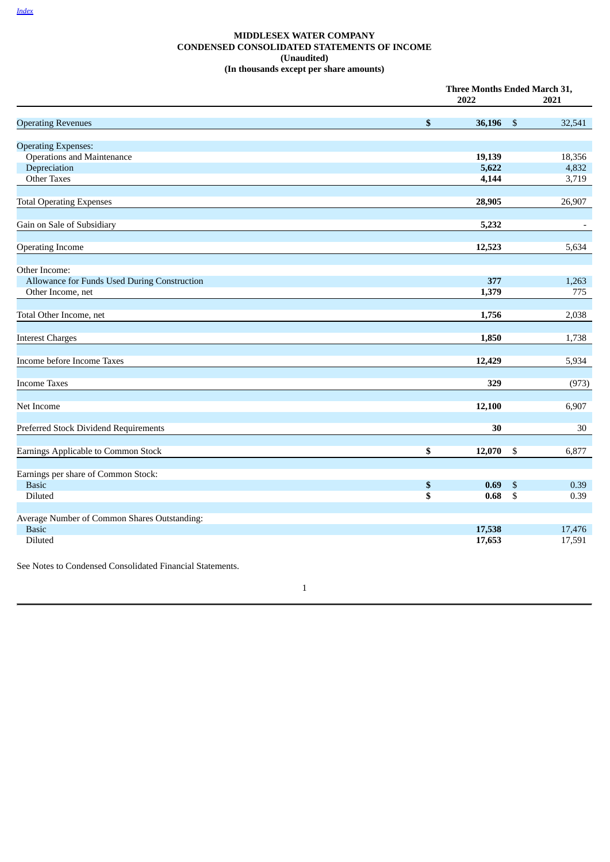## **MIDDLESEX WATER COMPANY CONDENSED CONSOLIDATED STATEMENTS OF INCOME (Unaudited) (In thousands except per share amounts)**

<span id="page-2-2"></span><span id="page-2-1"></span><span id="page-2-0"></span>

|                                              | 2022         | Three Months Ended March 31,<br>2021 |        |  |
|----------------------------------------------|--------------|--------------------------------------|--------|--|
| <b>Operating Revenues</b>                    | \$<br>36,196 | $\boldsymbol{\mathsf{S}}$            | 32,541 |  |
| <b>Operating Expenses:</b>                   |              |                                      |        |  |
| <b>Operations and Maintenance</b>            | 19,139       |                                      | 18,356 |  |
| Depreciation                                 | 5,622        |                                      | 4,832  |  |
| <b>Other Taxes</b>                           | 4,144        |                                      | 3,719  |  |
| <b>Total Operating Expenses</b>              | 28,905       |                                      | 26,907 |  |
| Gain on Sale of Subsidiary                   | 5,232        |                                      |        |  |
| <b>Operating Income</b>                      | 12,523       |                                      | 5,634  |  |
|                                              |              |                                      |        |  |
| Other Income:                                |              |                                      |        |  |
| Allowance for Funds Used During Construction | 377          |                                      | 1,263  |  |
| Other Income, net                            | 1,379        |                                      | 775    |  |
| Total Other Income, net                      | 1,756        |                                      | 2,038  |  |
| <b>Interest Charges</b>                      | 1,850        |                                      | 1,738  |  |
|                                              |              |                                      |        |  |
| Income before Income Taxes                   | 12,429       |                                      | 5,934  |  |
| <b>Income Taxes</b>                          | 329          |                                      | (973)  |  |
| Net Income                                   | 12,100       |                                      | 6,907  |  |
|                                              |              |                                      |        |  |
| Preferred Stock Dividend Requirements        | 30           |                                      | 30     |  |
| Earnings Applicable to Common Stock          | \$<br>12,070 | \$                                   | 6,877  |  |
| Earnings per share of Common Stock:          |              |                                      |        |  |
| <b>Basic</b>                                 | \$<br>0.69   | $\boldsymbol{\$}$                    | 0.39   |  |
| Diluted                                      | \$<br>0.68   | \$                                   | 0.39   |  |
| Average Number of Common Shares Outstanding: |              |                                      |        |  |
| <b>Basic</b>                                 | 17,538       |                                      | 17,476 |  |
| <b>Diluted</b>                               | 17,653       |                                      | 17,591 |  |
|                                              |              |                                      |        |  |

See Notes to Condensed Consolidated Financial Statements.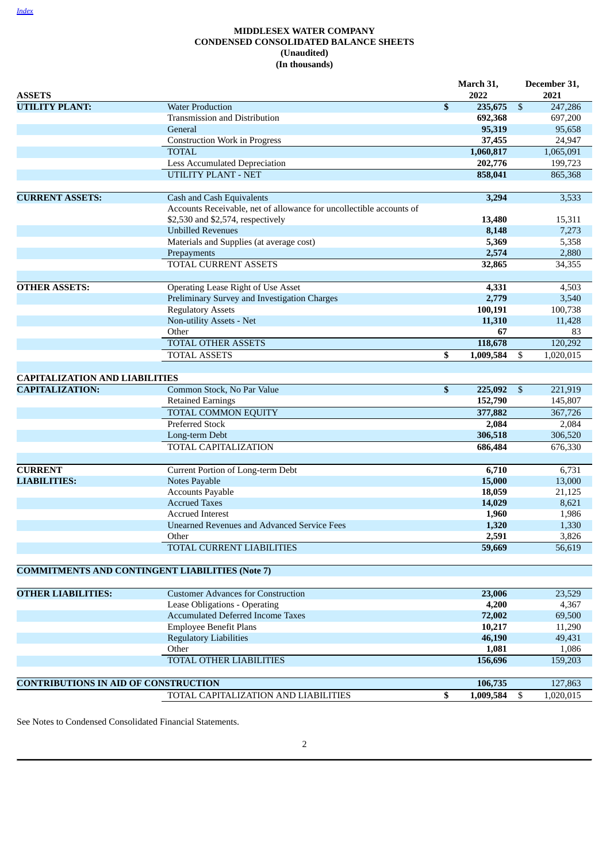## **MIDDLESEX WATER COMPANY CONDENSED CONSOLIDATED BALANCE SHEETS (Unaudited) (In thousands)**

<span id="page-3-0"></span>

|                                             |                                                                     |              | March 31,        |                | December 31, |
|---------------------------------------------|---------------------------------------------------------------------|--------------|------------------|----------------|--------------|
| <b>ASSETS</b>                               |                                                                     |              | 2022             |                | 2021         |
| <b>UTILITY PLANT:</b>                       | <b>Water Production</b>                                             | $\mathbf{s}$ | 235,675          | $\mathfrak{s}$ | 247,286      |
|                                             | Transmission and Distribution                                       |              | 692,368          |                | 697,200      |
|                                             | General                                                             |              | 95,319           |                | 95,658       |
|                                             | <b>Construction Work in Progress</b>                                |              | 37,455           |                | 24,947       |
|                                             | <b>TOTAL</b>                                                        |              | 1,060,817        |                | 1,065,091    |
|                                             | <b>Less Accumulated Depreciation</b>                                |              | 202,776          |                | 199,723      |
|                                             | <b>UTILITY PLANT - NET</b>                                          |              | 858,041          |                | 865,368      |
| <b>CURRENT ASSETS:</b>                      | Cash and Cash Equivalents                                           |              | 3,294            |                | 3,533        |
|                                             | Accounts Receivable, net of allowance for uncollectible accounts of |              |                  |                |              |
|                                             | \$2,530 and \$2,574, respectively                                   |              | 13,480           |                | 15,311       |
|                                             | <b>Unbilled Revenues</b>                                            |              | 8,148            |                | 7,273        |
|                                             | Materials and Supplies (at average cost)                            |              | 5,369            |                | 5,358        |
|                                             | Prepayments                                                         |              | 2,574            |                | 2,880        |
|                                             | TOTAL CURRENT ASSETS                                                |              | 32,865           |                | 34,355       |
|                                             |                                                                     |              |                  |                |              |
| <b>OTHER ASSETS:</b>                        | <b>Operating Lease Right of Use Asset</b>                           |              | 4,331            |                | 4,503        |
|                                             | Preliminary Survey and Investigation Charges                        |              | 2,779            |                | 3,540        |
|                                             | <b>Regulatory Assets</b>                                            |              | 100,191          |                | 100,738      |
|                                             | Non-utility Assets - Net                                            |              | 11,310           |                | 11,428       |
|                                             | Other                                                               |              | 67               |                | 83           |
|                                             | TOTAL OTHER ASSETS                                                  |              | 118,678          |                | 120,292      |
|                                             | <b>TOTAL ASSETS</b>                                                 | \$           | 1,009,584        | \$             | 1,020,015    |
|                                             |                                                                     |              |                  |                |              |
| <b>CAPITALIZATION AND LIABILITIES</b>       |                                                                     |              |                  |                |              |
| <b>CAPITALIZATION:</b>                      | Common Stock, No Par Value                                          | \$           | 225,092          | $\mathfrak{s}$ | 221,919      |
|                                             | <b>Retained Earnings</b>                                            |              | 152,790          |                | 145,807      |
|                                             | TOTAL COMMON EQUITY                                                 |              | 377,882          |                | 367,726      |
|                                             | <b>Preferred Stock</b>                                              |              | 2,084            |                | 2,084        |
|                                             | Long-term Debt                                                      |              | 306,518          |                | 306,520      |
|                                             | TOTAL CAPITALIZATION                                                |              | 686,484          |                | 676,330      |
|                                             |                                                                     |              |                  |                |              |
| <b>CURRENT</b>                              | Current Portion of Long-term Debt                                   |              | 6,710            |                | 6,731        |
| <b>LIABILITIES:</b>                         | Notes Payable                                                       |              | 15,000           |                | 13,000       |
|                                             | <b>Accounts Payable</b>                                             |              | 18,059           |                | 21,125       |
|                                             | <b>Accrued Taxes</b>                                                |              | 14,029           |                | 8,621        |
|                                             | <b>Accrued Interest</b>                                             |              | 1,960            |                | 1,986        |
|                                             | <b>Unearned Revenues and Advanced Service Fees</b>                  |              | 1,320            |                | 1,330        |
|                                             | Other                                                               |              | 2,591            |                | 3,826        |
|                                             | TOTAL CURRENT LIABILITIES                                           |              | 59,669           |                | 56,619       |
|                                             | <b>COMMITMENTS AND CONTINGENT LIABILITIES (Note 7)</b>              |              |                  |                |              |
| <b>OTHER LIABILITIES:</b>                   | <b>Customer Advances for Construction</b>                           |              | 23,006           |                | 23,529       |
|                                             | <b>Lease Obligations - Operating</b>                                |              | 4,200            |                | 4,367        |
|                                             | <b>Accumulated Deferred Income Taxes</b>                            |              |                  |                | 69,500       |
|                                             | <b>Employee Benefit Plans</b>                                       |              | 72,002<br>10,217 |                | 11,290       |
|                                             | <b>Regulatory Liabilities</b>                                       |              | 46,190           |                | 49,431       |
|                                             |                                                                     |              |                  |                |              |
|                                             | Other<br><b>TOTAL OTHER LIABILITIES</b>                             |              | 1,081            |                | 1,086        |
|                                             |                                                                     |              | 156,696          |                | 159,203      |
| <b>CONTRIBUTIONS IN AID OF CONSTRUCTION</b> |                                                                     |              | 106,735          |                | 127,863      |
|                                             | TOTAL CAPITALIZATION AND LIABILITIES                                | \$           | 1,009,584        | \$             | 1,020,015    |
|                                             |                                                                     |              |                  |                |              |

See Notes to Condensed Consolidated Financial Statements.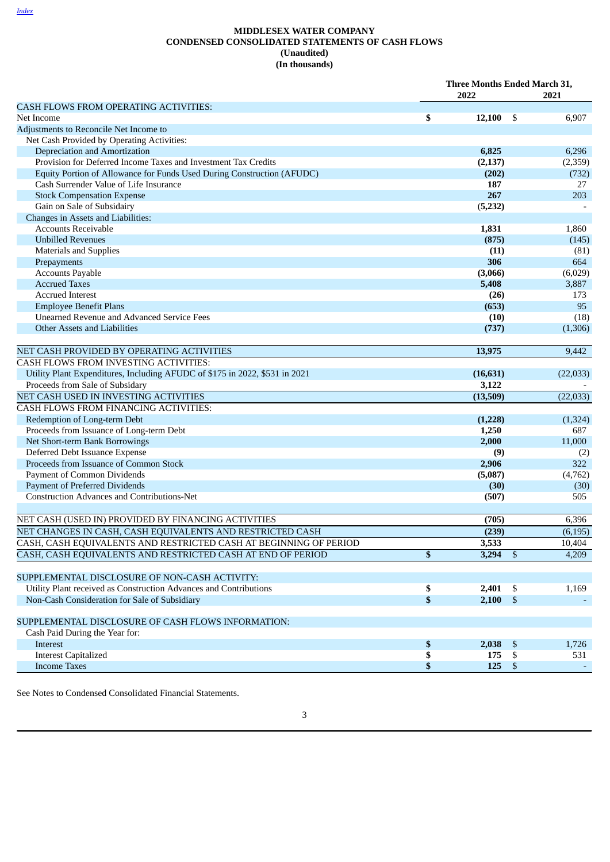## **MIDDLESEX WATER COMPANY CONDENSED CONSOLIDATED STATEMENTS OF CASH FLOWS (Unaudited) (In thousands)**

<span id="page-4-0"></span>

|                                                                             |          | Three Months Ended March 31, |                                 |           |  |
|-----------------------------------------------------------------------------|----------|------------------------------|---------------------------------|-----------|--|
|                                                                             |          | 2022                         |                                 | 2021      |  |
| <b>CASH FLOWS FROM OPERATING ACTIVITIES:</b>                                |          |                              |                                 |           |  |
| Net Income                                                                  | \$       | 12,100                       | \$                              | 6,907     |  |
| Adjustments to Reconcile Net Income to                                      |          |                              |                                 |           |  |
| Net Cash Provided by Operating Activities:                                  |          |                              |                                 |           |  |
| <b>Depreciation and Amortization</b>                                        |          | 6,825                        |                                 | 6,296     |  |
| Provision for Deferred Income Taxes and Investment Tax Credits              |          | (2, 137)                     |                                 | (2,359)   |  |
| Equity Portion of Allowance for Funds Used During Construction (AFUDC)      |          | (202)                        |                                 | (732)     |  |
| Cash Surrender Value of Life Insurance                                      |          | 187                          |                                 | 27        |  |
| <b>Stock Compensation Expense</b>                                           |          | 267                          |                                 | 203       |  |
| Gain on Sale of Subsidairy                                                  |          | (5,232)                      |                                 |           |  |
| Changes in Assets and Liabilities:                                          |          |                              |                                 |           |  |
| <b>Accounts Receivable</b>                                                  |          | 1,831                        |                                 | 1,860     |  |
| <b>Unbilled Revenues</b>                                                    |          | (875)                        |                                 | (145)     |  |
| <b>Materials and Supplies</b>                                               |          | (11)                         |                                 | (81)      |  |
| Prepayments                                                                 |          | 306                          |                                 | 664       |  |
| <b>Accounts Payable</b>                                                     |          | (3,066)                      |                                 | (6,029)   |  |
| <b>Accrued Taxes</b>                                                        |          | 5,408                        |                                 | 3,887     |  |
| <b>Accrued Interest</b>                                                     |          | (26)                         |                                 | 173       |  |
| <b>Employee Benefit Plans</b>                                               |          | (653)                        |                                 | 95        |  |
| <b>Unearned Revenue and Advanced Service Fees</b>                           |          | (10)                         |                                 | (18)      |  |
| <b>Other Assets and Liabilities</b>                                         |          | (737)                        |                                 | (1,306)   |  |
|                                                                             |          |                              |                                 |           |  |
| NET CASH PROVIDED BY OPERATING ACTIVITIES                                   |          | 13,975                       |                                 | 9,442     |  |
| CASH FLOWS FROM INVESTING ACTIVITIES:                                       |          |                              |                                 |           |  |
| Utility Plant Expenditures, Including AFUDC of \$175 in 2022, \$531 in 2021 |          | (16, 631)                    |                                 | (22,033)  |  |
| Proceeds from Sale of Subsidary                                             |          | 3,122                        |                                 |           |  |
| NET CASH USED IN INVESTING ACTIVITIES                                       |          | (13,509)                     |                                 | (22, 033) |  |
| CASH FLOWS FROM FINANCING ACTIVITIES:                                       |          |                              |                                 |           |  |
| Redemption of Long-term Debt                                                |          | (1,228)                      |                                 | (1,324)   |  |
| Proceeds from Issuance of Long-term Debt                                    |          | 1,250                        |                                 | 687       |  |
| Net Short-term Bank Borrowings                                              |          | 2,000                        |                                 | 11,000    |  |
| Deferred Debt Issuance Expense                                              |          | (9)                          |                                 | (2)       |  |
| Proceeds from Issuance of Common Stock                                      |          | 2,906                        |                                 | 322       |  |
| Payment of Common Dividends                                                 |          | (5,087)                      |                                 | (4,762)   |  |
| <b>Payment of Preferred Dividends</b>                                       |          | (30)                         |                                 | (30)      |  |
| <b>Construction Advances and Contributions-Net</b>                          |          | (507)                        |                                 | 505       |  |
|                                                                             |          |                              |                                 |           |  |
| NET CASH (USED IN) PROVIDED BY FINANCING ACTIVITIES                         |          | (705)                        |                                 | 6,396     |  |
| NET CHANGES IN CASH, CASH EQUIVALENTS AND RESTRICTED CASH                   |          | (239)                        |                                 | (6, 195)  |  |
| CASH, CASH EQUIVALENTS AND RESTRICTED CASH AT BEGINNING OF PERIOD           |          | 3,533                        |                                 | 10,404    |  |
| CASH, CASH EQUIVALENTS AND RESTRICTED CASH AT END OF PERIOD                 |          |                              | $\sqrt{3}$                      | 4,209     |  |
|                                                                             | \$       | 3,294                        |                                 |           |  |
| SUPPLEMENTAL DISCLOSURE OF NON-CASH ACTIVITY:                               |          |                              |                                 |           |  |
|                                                                             |          |                              | - \$                            |           |  |
| Utility Plant received as Construction Advances and Contributions           | \$<br>\$ | 2,401                        | $\mathfrak{s}$                  | 1,169     |  |
| Non-Cash Consideration for Sale of Subsidiary                               |          | 2,100                        |                                 |           |  |
| SUPPLEMENTAL DISCLOSURE OF CASH FLOWS INFORMATION:                          |          |                              |                                 |           |  |
| Cash Paid During the Year for:                                              |          |                              |                                 |           |  |
| Interest                                                                    |          | 2,038                        |                                 | 1,726     |  |
| <b>Interest Capitalized</b>                                                 | \$<br>\$ | 175                          | $\boldsymbol{\mathsf{S}}$<br>\$ | 531       |  |
| <b>Income Taxes</b>                                                         | \$       | 125                          | $\mathbb{S}$                    |           |  |
|                                                                             |          |                              |                                 |           |  |

See Notes to Condensed Consolidated Financial Statements.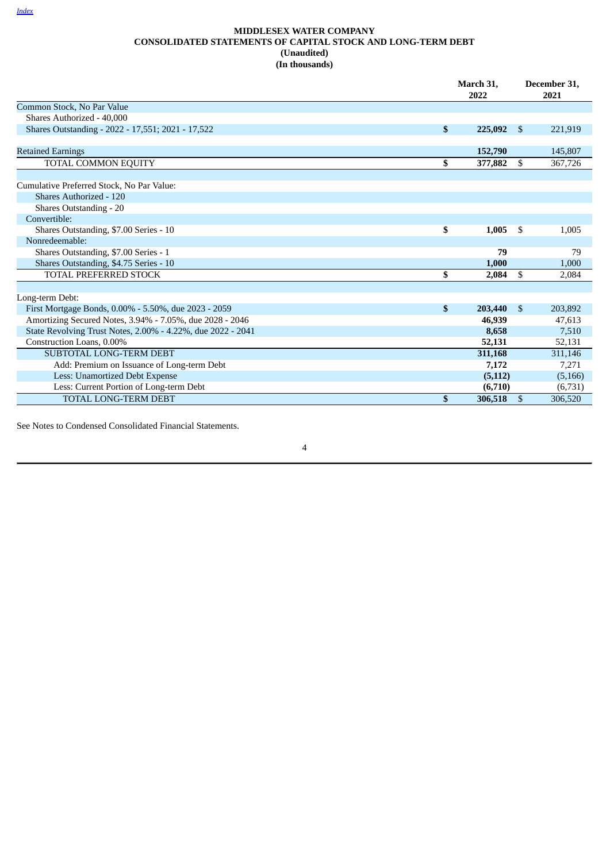## **MIDDLESEX WATER COMPANY CONSOLIDATED STATEMENTS OF CAPITAL STOCK AND LONG-TERM DEBT (Unaudited) (In thousands)**

<span id="page-5-0"></span>

|                                                             | March 31,<br>2022 |              | December 31,<br>2021 |
|-------------------------------------------------------------|-------------------|--------------|----------------------|
| Common Stock, No Par Value                                  |                   |              |                      |
| Shares Authorized - 40,000                                  |                   |              |                      |
| Shares Outstanding - 2022 - 17,551; 2021 - 17,522           | \$<br>225,092     | \$           | 221,919              |
|                                                             |                   |              |                      |
| <b>Retained Earnings</b>                                    | 152,790           |              | 145,807              |
| TOTAL COMMON EQUITY                                         | \$<br>377,882     | \$           | 367,726              |
|                                                             |                   |              |                      |
| Cumulative Preferred Stock, No Par Value:                   |                   |              |                      |
| Shares Authorized - 120                                     |                   |              |                      |
| Shares Outstanding - 20                                     |                   |              |                      |
| Convertible:                                                |                   |              |                      |
| Shares Outstanding, \$7.00 Series - 10                      | \$<br>1,005       | \$           | 1,005                |
| Nonredeemable:                                              |                   |              |                      |
| Shares Outstanding, \$7.00 Series - 1                       | 79                |              | 79                   |
| Shares Outstanding, \$4.75 Series - 10                      | 1,000             |              | 1,000                |
| <b>TOTAL PREFERRED STOCK</b>                                | \$<br>2,084       | \$           | 2,084                |
|                                                             |                   |              |                      |
| Long-term Debt:                                             |                   |              |                      |
| First Mortgage Bonds, 0.00% - 5.50%, due 2023 - 2059        | \$<br>203,440     | $\mathbb{S}$ | 203,892              |
| Amortizing Secured Notes, 3.94% - 7.05%, due 2028 - 2046    | 46,939            |              | 47,613               |
| State Revolving Trust Notes, 2.00% - 4.22%, due 2022 - 2041 | 8,658             |              | 7,510                |
| Construction Loans, 0.00%                                   | 52,131            |              | 52,131               |
| <b>SUBTOTAL LONG-TERM DEBT</b>                              | 311,168           |              | 311,146              |
| Add: Premium on Issuance of Long-term Debt                  | 7,172             |              | 7,271                |
| Less: Unamortized Debt Expense                              | (5, 112)          |              | (5,166)              |
| Less: Current Portion of Long-term Debt                     | (6,710)           |              | (6,731)              |
| <b>TOTAL LONG-TERM DEBT</b>                                 | \$<br>306,518     | \$           | 306,520              |

See Notes to Condensed Consolidated Financial Statements.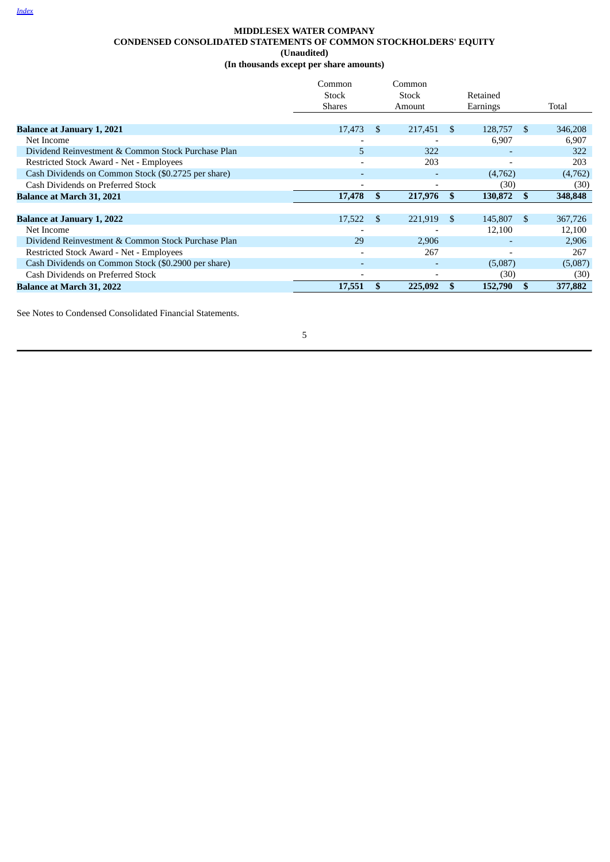## **MIDDLESEX WATER COMPANY CONDENSED CONSOLIDATED STATEMENTS OF COMMON STOCKHOLDERS' EQUITY (Unaudited) (In thousands except per share amounts)**

<span id="page-6-0"></span>

|                                                     | Common                   |               | Common       |      |                          |               |         |
|-----------------------------------------------------|--------------------------|---------------|--------------|------|--------------------------|---------------|---------|
|                                                     | <b>Stock</b>             |               | <b>Stock</b> |      | Retained                 |               |         |
|                                                     | <b>Shares</b>            |               | Amount       |      | Earnings                 |               | Total   |
|                                                     |                          |               |              |      |                          |               |         |
| <b>Balance at January 1, 2021</b>                   | 17,473                   | <sup>\$</sup> | 217,451 \$   |      | 128,757                  | <sup>\$</sup> | 346,208 |
| Net Income                                          |                          |               |              |      | 6,907                    |               | 6,907   |
| Dividend Reinvestment & Common Stock Purchase Plan  | 5                        |               | 322          |      |                          |               | 322     |
| Restricted Stock Award - Net - Employees            |                          |               | 203          |      | $\overline{\phantom{a}}$ |               | 203     |
| Cash Dividends on Common Stock (\$0.2725 per share) |                          |               |              |      | (4,762)                  |               | (4,762) |
| Cash Dividends on Preferred Stock                   |                          |               |              |      | (30)                     |               | (30)    |
| <b>Balance at March 31, 2021</b>                    | 17,478                   |               | 217,976      |      | 130,872                  | \$.           | 348,848 |
|                                                     |                          |               |              |      |                          |               |         |
| <b>Balance at January 1, 2022</b>                   | 17,522                   | \$            | 221,919      | - \$ | 145,807                  | \$.           | 367,726 |
| Net Income                                          |                          |               |              |      | 12,100                   |               | 12,100  |
| Dividend Reinvestment & Common Stock Purchase Plan  | 29                       |               | 2,906        |      |                          |               | 2,906   |
| Restricted Stock Award - Net - Employees            |                          |               | 267          |      | $\overline{\phantom{0}}$ |               | 267     |
| Cash Dividends on Common Stock (\$0.2900 per share) |                          |               |              |      | (5,087)                  |               | (5,087) |
| Cash Dividends on Preferred Stock                   | $\overline{\phantom{a}}$ |               | -            |      | (30)                     |               | (30)    |
| <b>Balance at March 31, 2022</b>                    | 17,551                   | ж             | 225,092      |      | 152,790                  | \$.           | 377,882 |

See Notes to Condensed Consolidated Financial Statements.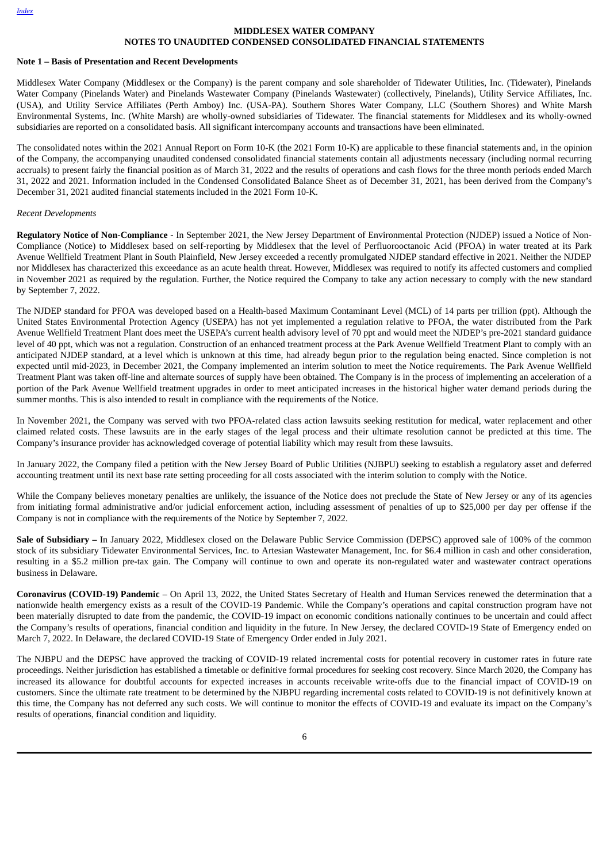## **MIDDLESEX WATER COMPANY NOTES TO UNAUDITED CONDENSED CONSOLIDATED FINANCIAL STATEMENTS**

#### <span id="page-7-0"></span>**Note 1 – Basis of Presentation and Recent Developments**

Middlesex Water Company (Middlesex or the Company) is the parent company and sole shareholder of Tidewater Utilities, Inc. (Tidewater), Pinelands Water Company (Pinelands Water) and Pinelands Wastewater Company (Pinelands Wastewater) (collectively, Pinelands), Utility Service Affiliates, Inc. (USA), and Utility Service Affiliates (Perth Amboy) Inc. (USA-PA). Southern Shores Water Company, LLC (Southern Shores) and White Marsh Environmental Systems, Inc. (White Marsh) are wholly-owned subsidiaries of Tidewater. The financial statements for Middlesex and its wholly-owned subsidiaries are reported on a consolidated basis. All significant intercompany accounts and transactions have been eliminated.

The consolidated notes within the 2021 Annual Report on Form 10-K (the 2021 Form 10-K) are applicable to these financial statements and, in the opinion of the Company, the accompanying unaudited condensed consolidated financial statements contain all adjustments necessary (including normal recurring accruals) to present fairly the financial position as of March 31, 2022 and the results of operations and cash flows for the three month periods ended March 31, 2022 and 2021. Information included in the Condensed Consolidated Balance Sheet as of December 31, 2021, has been derived from the Company's December 31, 2021 audited financial statements included in the 2021 Form 10-K.

#### *Recent Developments*

**Regulatory Notice of Non-Compliance -** In September 2021, the New Jersey Department of Environmental Protection (NJDEP) issued a Notice of Non-Compliance (Notice) to Middlesex based on self-reporting by Middlesex that the level of Perfluorooctanoic Acid (PFOA) in water treated at its Park Avenue Wellfield Treatment Plant in South Plainfield, New Jersey exceeded a recently promulgated NJDEP standard effective in 2021. Neither the NJDEP nor Middlesex has characterized this exceedance as an acute health threat. However, Middlesex was required to notify its affected customers and complied in November 2021 as required by the regulation. Further, the Notice required the Company to take any action necessary to comply with the new standard by September 7, 2022.

The NJDEP standard for PFOA was developed based on a Health-based Maximum Contaminant Level (MCL) of 14 parts per trillion (ppt). Although the United States Environmental Protection Agency (USEPA) has not yet implemented a regulation relative to PFOA, the water distributed from the Park Avenue Wellfield Treatment Plant does meet the USEPA's current health advisory level of 70 ppt and would meet the NJDEP's pre-2021 standard guidance level of 40 ppt, which was not a regulation. Construction of an enhanced treatment process at the Park Avenue Wellfield Treatment Plant to comply with an anticipated NJDEP standard, at a level which is unknown at this time, had already begun prior to the regulation being enacted. Since completion is not expected until mid-2023, in December 2021, the Company implemented an interim solution to meet the Notice requirements. The Park Avenue Wellfield Treatment Plant was taken off-line and alternate sources of supply have been obtained. The Company is in the process of implementing an acceleration of a portion of the Park Avenue Wellfield treatment upgrades in order to meet anticipated increases in the historical higher water demand periods during the summer months. This is also intended to result in compliance with the requirements of the Notice.

In November 2021, the Company was served with two PFOA-related class action lawsuits seeking restitution for medical, water replacement and other claimed related costs. These lawsuits are in the early stages of the legal process and their ultimate resolution cannot be predicted at this time. The Company's insurance provider has acknowledged coverage of potential liability which may result from these lawsuits.

In January 2022, the Company filed a petition with the New Jersey Board of Public Utilities (NJBPU) seeking to establish a regulatory asset and deferred accounting treatment until its next base rate setting proceeding for all costs associated with the interim solution to comply with the Notice.

While the Company believes monetary penalties are unlikely, the issuance of the Notice does not preclude the State of New Jersey or any of its agencies from initiating formal administrative and/or judicial enforcement action, including assessment of penalties of up to \$25,000 per day per offense if the Company is not in compliance with the requirements of the Notice by September 7, 2022.

**Sale of Subsidiary –** In January 2022, Middlesex closed on the Delaware Public Service Commission (DEPSC) approved sale of 100% of the common stock of its subsidiary Tidewater Environmental Services, Inc. to Artesian Wastewater Management, Inc. for \$6.4 million in cash and other consideration, resulting in a \$5.2 million pre-tax gain. The Company will continue to own and operate its non-regulated water and wastewater contract operations business in Delaware.

**Coronavirus (COVID-19) Pandemic** – On April 13, 2022, the United States Secretary of Health and Human Services renewed the determination that a nationwide health emergency exists as a result of the COVID-19 Pandemic. While the Company's operations and capital construction program have not been materially disrupted to date from the pandemic, the COVID-19 impact on economic conditions nationally continues to be uncertain and could affect the Company's results of operations, financial condition and liquidity in the future. In New Jersey, the declared COVID-19 State of Emergency ended on March 7, 2022. In Delaware, the declared COVID-19 State of Emergency Order ended in July 2021.

The NJBPU and the DEPSC have approved the tracking of COVID-19 related incremental costs for potential recovery in customer rates in future rate proceedings. Neither jurisdiction has established a timetable or definitive formal procedures for seeking cost recovery. Since March 2020, the Company has increased its allowance for doubtful accounts for expected increases in accounts receivable write-offs due to the financial impact of COVID-19 on customers. Since the ultimate rate treatment to be determined by the NJBPU regarding incremental costs related to COVID-19 is not definitively known at this time, the Company has not deferred any such costs. We will continue to monitor the effects of COVID-19 and evaluate its impact on the Company's results of operations, financial condition and liquidity.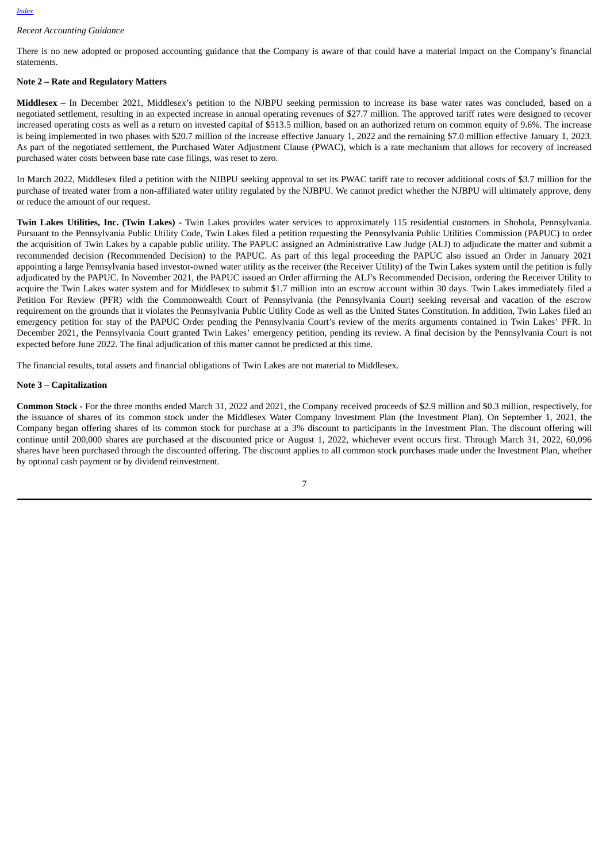#### *Recent Accounting Guidance*

There is no new adopted or proposed accounting guidance that the Company is aware of that could have a material impact on the Company's financial statements.

#### **Note 2 – Rate and Regulatory Matters**

**Middlesex –** In December 2021, Middlesex's petition to the NJBPU seeking permission to increase its base water rates was concluded, based on a negotiated settlement, resulting in an expected increase in annual operating revenues of \$27.7 million. The approved tariff rates were designed to recover increased operating costs as well as a return on invested capital of \$513.5 million, based on an authorized return on common equity of 9.6%. The increase is being implemented in two phases with \$20.7 million of the increase effective January 1, 2022 and the remaining \$7.0 million effective January 1, 2023. As part of the negotiated settlement, the Purchased Water Adjustment Clause (PWAC), which is a rate mechanism that allows for recovery of increased purchased water costs between base rate case filings, was reset to zero.

In March 2022, Middlesex filed a petition with the NJBPU seeking approval to set its PWAC tariff rate to recover additional costs of \$3.7 million for the purchase of treated water from a non-affiliated water utility regulated by the NJBPU. We cannot predict whether the NJBPU will ultimately approve, deny or reduce the amount of our request.

**Twin Lakes Utilities, Inc. (Twin Lakes) -** Twin Lakes provides water services to approximately 115 residential customers in Shohola, Pennsylvania. Pursuant to the Pennsylvania Public Utility Code, Twin Lakes filed a petition requesting the Pennsylvania Public Utilities Commission (PAPUC) to order the acquisition of Twin Lakes by a capable public utility. The PAPUC assigned an Administrative Law Judge (ALJ) to adjudicate the matter and submit a recommended decision (Recommended Decision) to the PAPUC. As part of this legal proceeding the PAPUC also issued an Order in January 2021 appointing a large Pennsylvania based investor-owned water utility as the receiver (the Receiver Utility) of the Twin Lakes system until the petition is fully adjudicated by the PAPUC. In November 2021, the PAPUC issued an Order affirming the ALJ's Recommended Decision, ordering the Receiver Utility to acquire the Twin Lakes water system and for Middlesex to submit \$1.7 million into an escrow account within 30 days. Twin Lakes immediately filed a Petition For Review (PFR) with the Commonwealth Court of Pennsylvania (the Pennsylvania Court) seeking reversal and vacation of the escrow requirement on the grounds that it violates the Pennsylvania Public Utility Code as well as the United States Constitution. In addition, Twin Lakes filed an emergency petition for stay of the PAPUC Order pending the Pennsylvania Court's review of the merits arguments contained in Twin Lakes' PFR. In December 2021, the Pennsylvania Court granted Twin Lakes' emergency petition, pending its review. A final decision by the Pennsylvania Court is not expected before June 2022. The final adjudication of this matter cannot be predicted at this time.

The financial results, total assets and financial obligations of Twin Lakes are not material to Middlesex.

### **Note 3 – Capitalization**

**Common Stock -** For the three months ended March 31, 2022 and 2021, the Company received proceeds of \$2.9 million and \$0.3 million, respectively, for the issuance of shares of its common stock under the Middlesex Water Company Investment Plan (the Investment Plan). On September 1, 2021, the Company began offering shares of its common stock for purchase at a 3% discount to participants in the Investment Plan. The discount offering will continue until 200,000 shares are purchased at the discounted price or August 1, 2022, whichever event occurs first. Through March 31, 2022, 60,096 shares have been purchased through the discounted offering. The discount applies to all common stock purchases made under the Investment Plan, whether by optional cash payment or by dividend reinvestment.

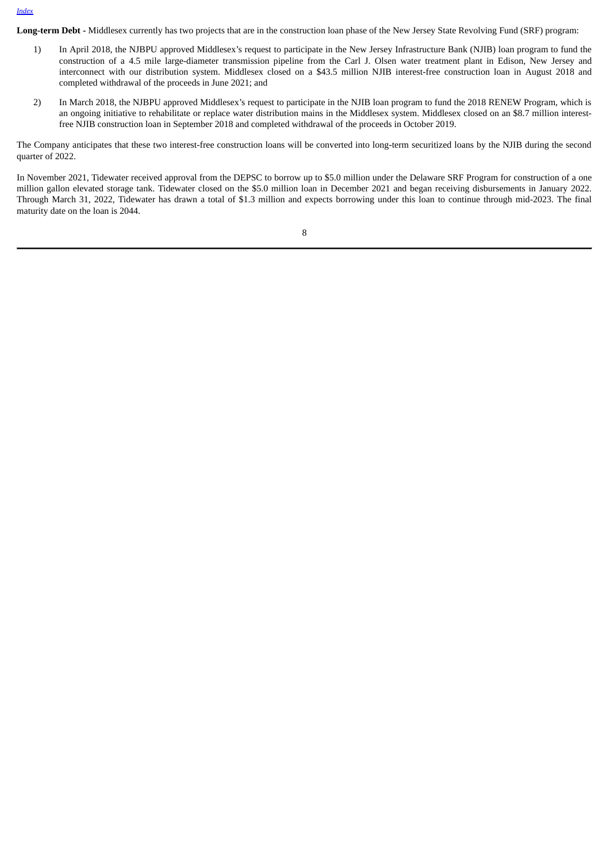**Long-term Debt -** Middlesex currently has two projects that are in the construction loan phase of the New Jersey State Revolving Fund (SRF) program:

- 1) In April 2018, the NJBPU approved Middlesex's request to participate in the New Jersey Infrastructure Bank (NJIB) loan program to fund the construction of a 4.5 mile large-diameter transmission pipeline from the Carl J. Olsen water treatment plant in Edison, New Jersey and interconnect with our distribution system. Middlesex closed on a \$43.5 million NJIB interest-free construction loan in August 2018 and completed withdrawal of the proceeds in June 2021; and
- 2) In March 2018, the NJBPU approved Middlesex's request to participate in the NJIB loan program to fund the 2018 RENEW Program, which is an ongoing initiative to rehabilitate or replace water distribution mains in the Middlesex system. Middlesex closed on an \$8.7 million interestfree NJIB construction loan in September 2018 and completed withdrawal of the proceeds in October 2019.

The Company anticipates that these two interest-free construction loans will be converted into long-term securitized loans by the NJIB during the second quarter of 2022.

In November 2021, Tidewater received approval from the DEPSC to borrow up to \$5.0 million under the Delaware SRF Program for construction of a one million gallon elevated storage tank. Tidewater closed on the \$5.0 million loan in December 2021 and began receiving disbursements in January 2022. Through March 31, 2022, Tidewater has drawn a total of \$1.3 million and expects borrowing under this loan to continue through mid-2023. The final maturity date on the loan is 2044.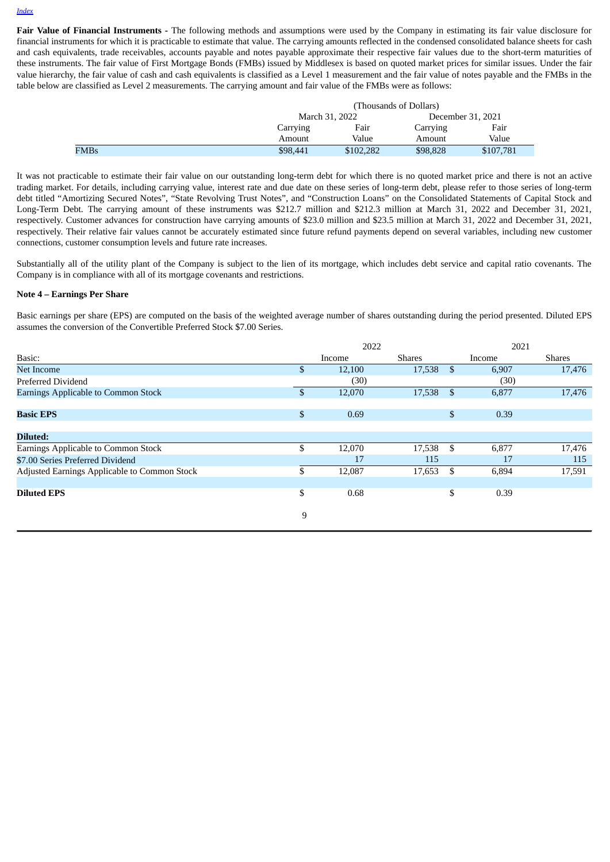**Fair Value of Financial Instruments -** The following methods and assumptions were used by the Company in estimating its fair value disclosure for financial instruments for which it is practicable to estimate that value. The carrying amounts reflected in the condensed consolidated balance sheets for cash and cash equivalents, trade receivables, accounts payable and notes payable approximate their respective fair values due to the short-term maturities of these instruments. The fair value of First Mortgage Bonds (FMBs) issued by Middlesex is based on quoted market prices for similar issues. Under the fair value hierarchy, the fair value of cash and cash equivalents is classified as a Level 1 measurement and the fair value of notes payable and the FMBs in the table below are classified as Level 2 measurements. The carrying amount and fair value of the FMBs were as follows:

|             |          | (Thousands of Dollars)              |          |           |  |  |  |  |
|-------------|----------|-------------------------------------|----------|-----------|--|--|--|--|
|             |          | March 31, 2022<br>December 31, 2021 |          |           |  |  |  |  |
|             | Carrying | Fair                                | Carrying | Fair      |  |  |  |  |
|             | Amount   | Value                               | Amount   | Value     |  |  |  |  |
| <b>FMBs</b> | \$98,441 | \$102,282                           | \$98,828 | \$107,781 |  |  |  |  |

It was not practicable to estimate their fair value on our outstanding long-term debt for which there is no quoted market price and there is not an active trading market. For details, including carrying value, interest rate and due date on these series of long-term debt, please refer to those series of long-term debt titled "Amortizing Secured Notes", "State Revolving Trust Notes", and "Construction Loans" on the Consolidated Statements of Capital Stock and Long-Term Debt. The carrying amount of these instruments was \$212.7 million and \$212.3 million at March 31, 2022 and December 31, 2021, respectively. Customer advances for construction have carrying amounts of \$23.0 million and \$23.5 million at March 31, 2022 and December 31, 2021, respectively. Their relative fair values cannot be accurately estimated since future refund payments depend on several variables, including new customer connections, customer consumption levels and future rate increases.

Substantially all of the utility plant of the Company is subject to the lien of its mortgage, which includes debt service and capital ratio covenants. The Company is in compliance with all of its mortgage covenants and restrictions.

#### **Note 4 – Earnings Per Share**

Basic earnings per share (EPS) are computed on the basis of the weighted average number of shares outstanding during the period presented. Diluted EPS assumes the conversion of the Convertible Preferred Stock \$7.00 Series.

|                                              | 2022 |        |               | 2021 |        |        |  |
|----------------------------------------------|------|--------|---------------|------|--------|--------|--|
| Basic:                                       |      | Income | <b>Shares</b> |      | Income | Shares |  |
| <b>Net Income</b>                            |      | 12,100 | 17,538        | -\$  | 6,907  | 17,476 |  |
| Preferred Dividend                           |      | (30)   |               |      | (30)   |        |  |
| Earnings Applicable to Common Stock          | \$   | 12,070 | 17,538        | -\$  | 6,877  | 17,476 |  |
| <b>Basic EPS</b>                             | \$   | 0.69   |               | \$   | 0.39   |        |  |
| <b>Diluted:</b>                              |      |        |               |      |        |        |  |
| Earnings Applicable to Common Stock          |      | 12,070 | 17,538        | -\$  | 6,877  | 17,476 |  |
| \$7.00 Series Preferred Dividend             |      | 17     | 115           |      | 17     | 115    |  |
| Adjusted Earnings Applicable to Common Stock |      | 12,087 | 17,653        | S    | 6,894  | 17,591 |  |
| <b>Diluted EPS</b>                           | \$   | 0.68   |               | \$   | 0.39   |        |  |
|                                              | 9    |        |               |      |        |        |  |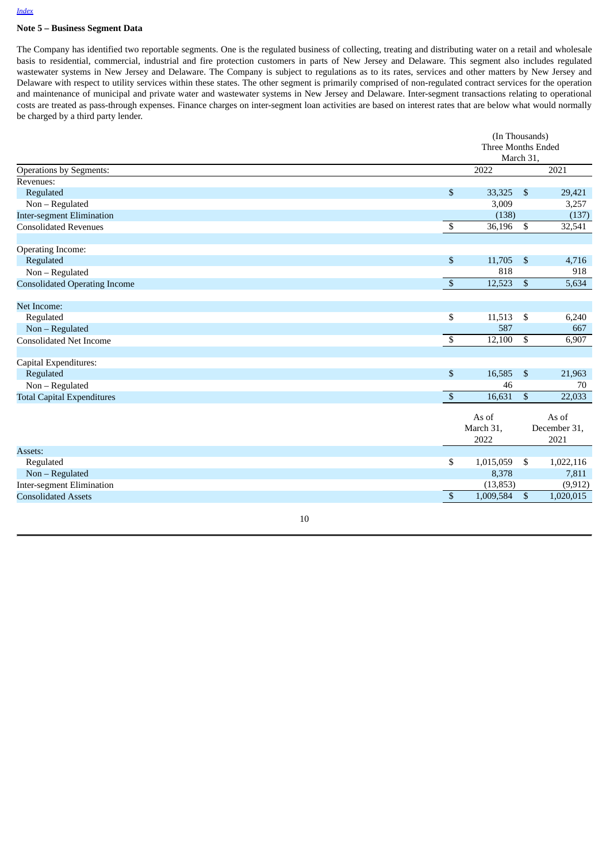### **Note 5 – Business Segment Data**

The Company has identified two reportable segments. One is the regulated business of collecting, treating and distributing water on a retail and wholesale basis to residential, commercial, industrial and fire protection customers in parts of New Jersey and Delaware. This segment also includes regulated wastewater systems in New Jersey and Delaware. The Company is subject to regulations as to its rates, services and other matters by New Jersey and Delaware with respect to utility services within these states. The other segment is primarily comprised of non-regulated contract services for the operation and maintenance of municipal and private water and wastewater systems in New Jersey and Delaware. Inter-segment transactions relating to operational costs are treated as pass-through expenses. Finance charges on inter-segment loan activities are based on interest rates that are below what would normally be charged by a third party lender.

|                                      | (In Thousands)           |                    |                |              |
|--------------------------------------|--------------------------|--------------------|----------------|--------------|
|                                      |                          | Three Months Ended |                |              |
|                                      |                          | March 31,          |                |              |
| <b>Operations by Segments:</b>       |                          | 2022               |                | 2021         |
| Revenues:                            |                          |                    |                |              |
| Regulated                            | \$                       | 33,325             | $\mathfrak{s}$ | 29,421       |
| Non - Regulated                      |                          | 3,009              |                | 3,257        |
| <b>Inter-segment Elimination</b>     |                          | (138)              |                | (137)        |
| <b>Consolidated Revenues</b>         | \$                       | 36,196             | \$             | 32,541       |
| Operating Income:                    |                          |                    |                |              |
| Regulated                            | $\mathbf{s}$             | 11,705             | \$             | 4,716        |
| Non - Regulated                      |                          | 818                |                | 918          |
| <b>Consolidated Operating Income</b> | $\mathbb{S}$             | 12,523             | \$             | 5,634        |
|                                      |                          |                    |                |              |
| Net Income:                          |                          |                    |                |              |
| Regulated                            | $\overline{\mathcal{S}}$ | 11,513             | \$             | 6,240        |
| $Non-Regulated$                      |                          | 587                |                | 667          |
| Consolidated Net Income              | \$                       | 12,100             | \$             | 6,907        |
| Capital Expenditures:                |                          |                    |                |              |
| Regulated                            | $\$$                     | 16,585             | \$             | 21,963       |
| Non - Regulated                      |                          | 46                 |                | 70           |
| <b>Total Capital Expenditures</b>    | $\overline{\$}$          | 16,631             | $\mathbb{S}$   | 22,033       |
|                                      |                          | As of              |                | As of        |
|                                      |                          | March 31,          |                | December 31, |
|                                      |                          | 2022               |                | 2021         |
| Assets:                              |                          |                    |                |              |
| Regulated                            | \$                       | 1,015,059          | \$             | 1,022,116    |
| Non - Regulated                      |                          | 8,378              |                | 7,811        |
| <b>Inter-segment Elimination</b>     |                          | (13, 853)          |                | (9, 912)     |
| <b>Consolidated Assets</b>           | $\mathbb{S}$             | 1,009,584          | \$             | 1,020,015    |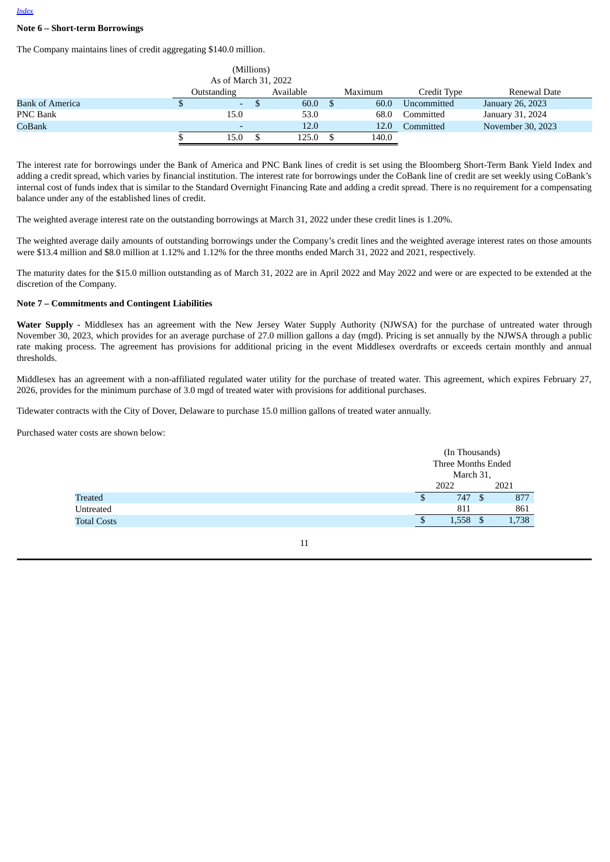## **Note 6 – Short-term Borrowings**

The Company maintains lines of credit aggregating \$140.0 million.

|                        |  | (Millions)  |  |           |  |         |             |                   |  |  |
|------------------------|--|-------------|--|-----------|--|---------|-------------|-------------------|--|--|
| As of March 31, 2022   |  |             |  |           |  |         |             |                   |  |  |
|                        |  | Outstanding |  | Available |  | Maximum | Credit Type | Renewal Date      |  |  |
| <b>Bank of America</b> |  | 74 T        |  | 60.0      |  | 60.0    | Uncommitted | January 26, 2023  |  |  |
| PNC Bank               |  | 15.0        |  | 53.0      |  | 68.0    | Committed   | January 31, 2024  |  |  |
| CoBank                 |  |             |  | 12.0      |  | 12.0    | Committed   | November 30, 2023 |  |  |
|                        |  | 15.0        |  | 125.0     |  | 140.0   |             |                   |  |  |

The interest rate for borrowings under the Bank of America and PNC Bank lines of credit is set using the Bloomberg Short-Term Bank Yield Index and adding a credit spread, which varies by financial institution. The interest rate for borrowings under the CoBank line of credit are set weekly using CoBank's internal cost of funds index that is similar to the Standard Overnight Financing Rate and adding a credit spread. There is no requirement for a compensating balance under any of the established lines of credit.

The weighted average interest rate on the outstanding borrowings at March 31, 2022 under these credit lines is 1.20%.

The weighted average daily amounts of outstanding borrowings under the Company's credit lines and the weighted average interest rates on those amounts were \$13.4 million and \$8.0 million at 1.12% and 1.12% for the three months ended March 31, 2022 and 2021, respectively.

The maturity dates for the \$15.0 million outstanding as of March 31, 2022 are in April 2022 and May 2022 and were or are expected to be extended at the discretion of the Company.

#### **Note 7 – Commitments and Contingent Liabilities**

**Water Supply -** Middlesex has an agreement with the New Jersey Water Supply Authority (NJWSA) for the purchase of untreated water through November 30, 2023, which provides for an average purchase of 27.0 million gallons a day (mgd). Pricing is set annually by the NJWSA through a public rate making process. The agreement has provisions for additional pricing in the event Middlesex overdrafts or exceeds certain monthly and annual thresholds.

Middlesex has an agreement with a non-affiliated regulated water utility for the purchase of treated water. This agreement, which expires February 27, 2026, provides for the minimum purchase of 3.0 mgd of treated water with provisions for additional purchases.

Tidewater contracts with the City of Dover, Delaware to purchase 15.0 million gallons of treated water annually.

Purchased water costs are shown below:

|                    | (In Thousands)<br>Three Months Ended |       |  |       |
|--------------------|--------------------------------------|-------|--|-------|
|                    |                                      |       |  |       |
|                    | March 31,                            |       |  |       |
|                    | 2022                                 |       |  | 2021  |
| Treated            | Φ                                    | 747   |  | 877   |
| Untreated          |                                      | 811   |  | 861   |
| <b>Total Costs</b> |                                      | 1.558 |  | 1,738 |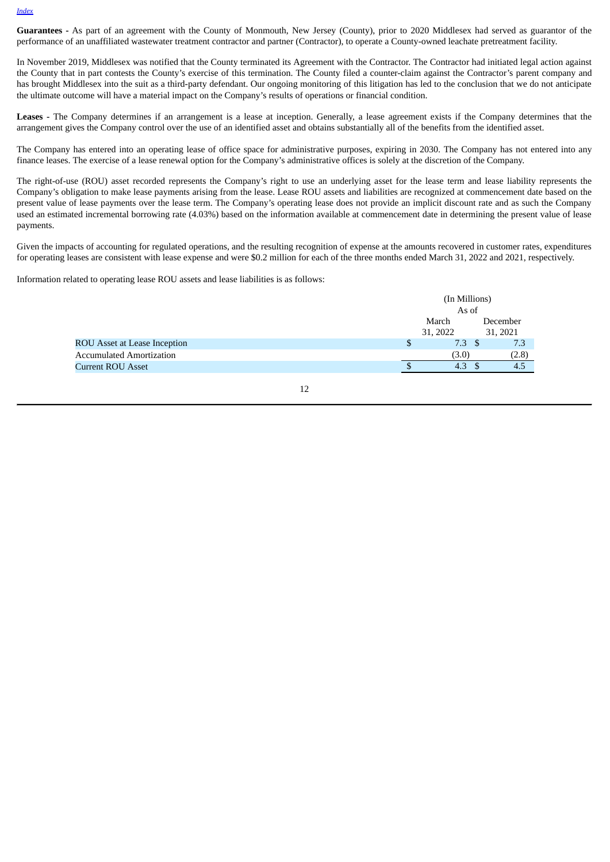**Guarantees -** As part of an agreement with the County of Monmouth, New Jersey (County), prior to 2020 Middlesex had served as guarantor of the performance of an unaffiliated wastewater treatment contractor and partner (Contractor), to operate a County-owned leachate pretreatment facility.

In November 2019, Middlesex was notified that the County terminated its Agreement with the Contractor. The Contractor had initiated legal action against the County that in part contests the County's exercise of this termination. The County filed a counter-claim against the Contractor's parent company and has brought Middlesex into the suit as a third-party defendant. Our ongoing monitoring of this litigation has led to the conclusion that we do not anticipate the ultimate outcome will have a material impact on the Company's results of operations or financial condition.

Leases - The Company determines if an arrangement is a lease at inception. Generally, a lease agreement exists if the Company determines that the arrangement gives the Company control over the use of an identified asset and obtains substantially all of the benefits from the identified asset.

The Company has entered into an operating lease of office space for administrative purposes, expiring in 2030. The Company has not entered into any finance leases. The exercise of a lease renewal option for the Company's administrative offices is solely at the discretion of the Company.

The right-of-use (ROU) asset recorded represents the Company's right to use an underlying asset for the lease term and lease liability represents the Company's obligation to make lease payments arising from the lease. Lease ROU assets and liabilities are recognized at commencement date based on the present value of lease payments over the lease term. The Company's operating lease does not provide an implicit discount rate and as such the Company used an estimated incremental borrowing rate (4.03%) based on the information available at commencement date in determining the present value of lease payments.

Given the impacts of accounting for regulated operations, and the resulting recognition of expense at the amounts recovered in customer rates, expenditures for operating leases are consistent with lease expense and were \$0.2 million for each of the three months ended March 31, 2022 and 2021, respectively.

Information related to operating lease ROU assets and lease liabilities is as follows:

|                                 | (In Millions)<br>As of |          |  |  |
|---------------------------------|------------------------|----------|--|--|
|                                 | March<br>December      |          |  |  |
|                                 | 31, 2022               | 31, 2021 |  |  |
| ROU Asset at Lease Inception    | $7.3 \text{ } $s$      | 7.3      |  |  |
| <b>Accumulated Amortization</b> | (3.0)                  | (2.8)    |  |  |
| Current ROU Asset               | 4.3                    | 4.5      |  |  |
|                                 |                        |          |  |  |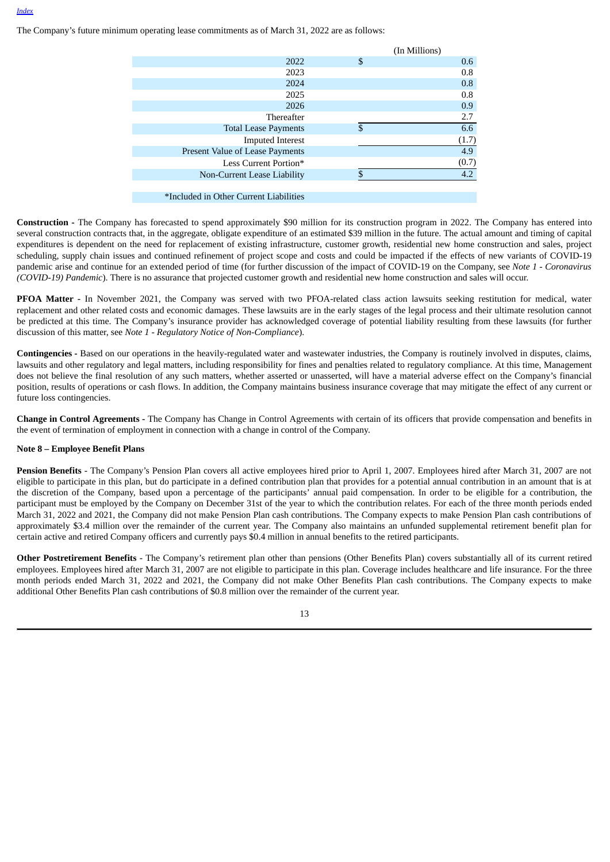The Company's future minimum operating lease commitments as of March 31, 2022 are as follows:

|                                        | (In Millions) |
|----------------------------------------|---------------|
| 2022                                   | \$<br>0.6     |
| 2023                                   | 0.8           |
| 2024                                   | 0.8           |
| 2025                                   | 0.8           |
| 2026                                   | 0.9           |
| Thereafter                             | 2.7           |
| <b>Total Lease Payments</b>            | \$<br>6.6     |
| <b>Imputed Interest</b>                | (1.7)         |
| Present Value of Lease Payments        | 4.9           |
| Less Current Portion*                  | (0.7)         |
| Non-Current Lease Liability            | \$<br>4.2     |
|                                        |               |
| *Included in Other Current Liabilities |               |

**Construction -** The Company has forecasted to spend approximately \$90 million for its construction program in 2022. The Company has entered into several construction contracts that, in the aggregate, obligate expenditure of an estimated \$39 million in the future. The actual amount and timing of capital expenditures is dependent on the need for replacement of existing infrastructure, customer growth, residential new home construction and sales, project scheduling, supply chain issues and continued refinement of project scope and costs and could be impacted if the effects of new variants of COVID-19 pandemic arise and continue for an extended period of time (for further discussion of the impact of COVID-19 on the Company, see *Note 1 - Coronavirus (COVID-19) Pandemic*). There is no assurance that projected customer growth and residential new home construction and sales will occur.

**PFOA Matter -** In November 2021, the Company was served with two PFOA-related class action lawsuits seeking restitution for medical, water replacement and other related costs and economic damages. These lawsuits are in the early stages of the legal process and their ultimate resolution cannot be predicted at this time. The Company's insurance provider has acknowledged coverage of potential liability resulting from these lawsuits (for further discussion of this matter, see *Note 1 - Regulatory Notice of Non-Compliance*).

**Contingencies -** Based on our operations in the heavily-regulated water and wastewater industries, the Company is routinely involved in disputes, claims, lawsuits and other regulatory and legal matters, including responsibility for fines and penalties related to regulatory compliance. At this time, Management does not believe the final resolution of any such matters, whether asserted or unasserted, will have a material adverse effect on the Company's financial position, results of operations or cash flows. In addition, the Company maintains business insurance coverage that may mitigate the effect of any current or future loss contingencies.

**Change in Control Agreements -** The Company has Change in Control Agreements with certain of its officers that provide compensation and benefits in the event of termination of employment in connection with a change in control of the Company.

### **Note 8 – Employee Benefit Plans**

**Pension Benefits** - The Company's Pension Plan covers all active employees hired prior to April 1, 2007. Employees hired after March 31, 2007 are not eligible to participate in this plan, but do participate in a defined contribution plan that provides for a potential annual contribution in an amount that is at the discretion of the Company, based upon a percentage of the participants' annual paid compensation. In order to be eligible for a contribution, the participant must be employed by the Company on December 31st of the year to which the contribution relates. For each of the three month periods ended March 31, 2022 and 2021, the Company did not make Pension Plan cash contributions. The Company expects to make Pension Plan cash contributions of approximately \$3.4 million over the remainder of the current year. The Company also maintains an unfunded supplemental retirement benefit plan for certain active and retired Company officers and currently pays \$0.4 million in annual benefits to the retired participants.

**Other Postretirement Benefits** *-* The Company's retirement plan other than pensions (Other Benefits Plan) covers substantially all of its current retired employees. Employees hired after March 31, 2007 are not eligible to participate in this plan. Coverage includes healthcare and life insurance. For the three month periods ended March 31, 2022 and 2021, the Company did not make Other Benefits Plan cash contributions. The Company expects to make additional Other Benefits Plan cash contributions of \$0.8 million over the remainder of the current year.

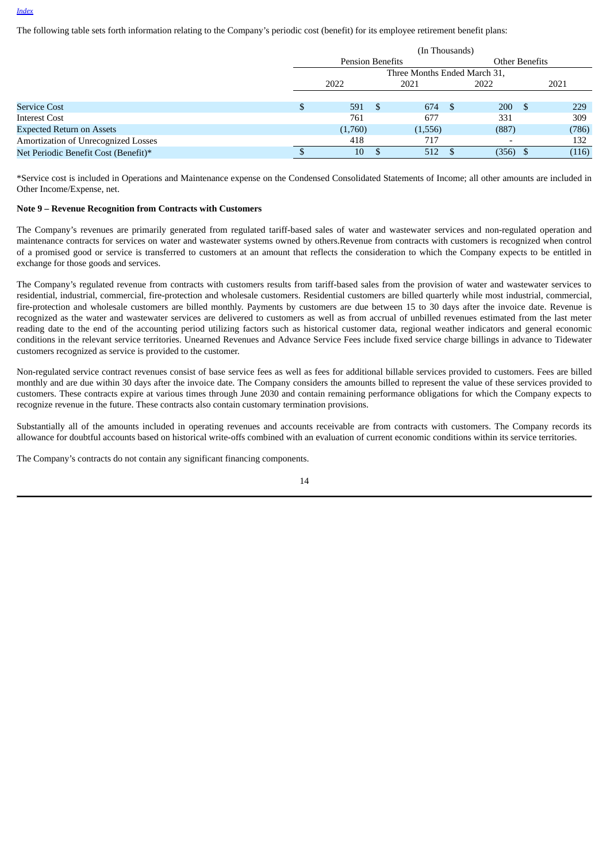The following table sets forth information relating to the Company's periodic cost (benefit) for its employee retirement benefit plans:

| (In Thousands)                                   |                              |  |         |      |       |  |       |
|--------------------------------------------------|------------------------------|--|---------|------|-------|--|-------|
| <b>Other Benefits</b><br><b>Pension Benefits</b> |                              |  |         |      |       |  |       |
|                                                  | Three Months Ended March 31, |  |         |      |       |  |       |
| 2022<br>2021<br>2022                             |                              |  |         |      |       |  | 2021  |
|                                                  |                              |  |         |      |       |  |       |
|                                                  |                              |  | 674     | - \$ |       |  | 229   |
|                                                  | 761                          |  | 677     |      | 331   |  | 309   |
|                                                  | (1,760)                      |  | (1,556) |      | (887) |  | (786) |
|                                                  | 418                          |  | 717     |      |       |  | 132   |
|                                                  | 10                           |  | 512     |      | (356) |  | (116) |
|                                                  |                              |  | 591S    |      |       |  | 200S  |

\*Service cost is included in Operations and Maintenance expense on the Condensed Consolidated Statements of Income; all other amounts are included in Other Income/Expense, net.

#### **Note 9 – Revenue Recognition from Contracts with Customers**

The Company's revenues are primarily generated from regulated tariff-based sales of water and wastewater services and non-regulated operation and maintenance contracts for services on water and wastewater systems owned by others.Revenue from contracts with customers is recognized when control of a promised good or service is transferred to customers at an amount that reflects the consideration to which the Company expects to be entitled in exchange for those goods and services.

The Company's regulated revenue from contracts with customers results from tariff-based sales from the provision of water and wastewater services to residential, industrial, commercial, fire-protection and wholesale customers. Residential customers are billed quarterly while most industrial, commercial, fire-protection and wholesale customers are billed monthly. Payments by customers are due between 15 to 30 days after the invoice date. Revenue is recognized as the water and wastewater services are delivered to customers as well as from accrual of unbilled revenues estimated from the last meter reading date to the end of the accounting period utilizing factors such as historical customer data, regional weather indicators and general economic conditions in the relevant service territories. Unearned Revenues and Advance Service Fees include fixed service charge billings in advance to Tidewater customers recognized as service is provided to the customer.

Non-regulated service contract revenues consist of base service fees as well as fees for additional billable services provided to customers. Fees are billed monthly and are due within 30 days after the invoice date. The Company considers the amounts billed to represent the value of these services provided to customers. These contracts expire at various times through June 2030 and contain remaining performance obligations for which the Company expects to recognize revenue in the future. These contracts also contain customary termination provisions.

Substantially all of the amounts included in operating revenues and accounts receivable are from contracts with customers. The Company records its allowance for doubtful accounts based on historical write-offs combined with an evaluation of current economic conditions within its service territories.

The Company's contracts do not contain any significant financing components.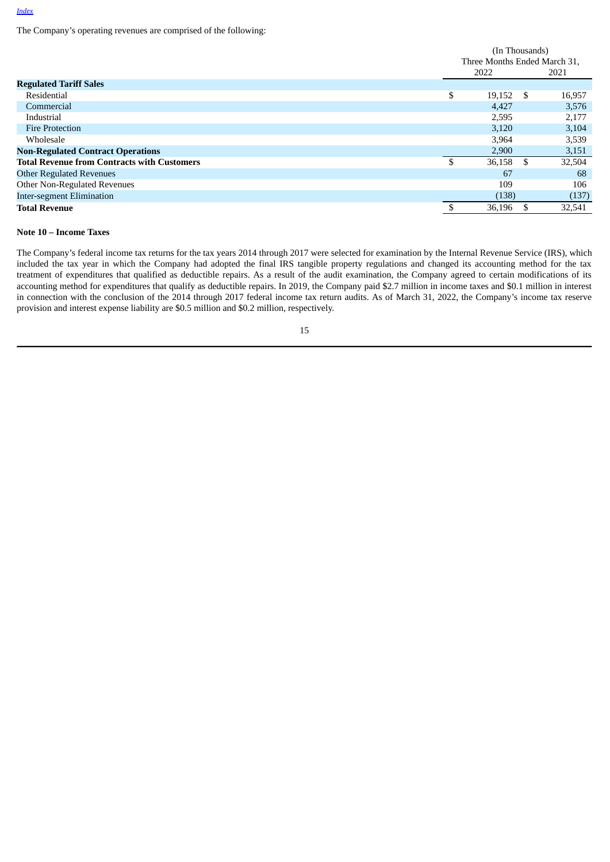The Company's operating revenues are comprised of the following:

|                                                    |   | (In Thousands)<br>Three Months Ended March 31, |     |        |  |
|----------------------------------------------------|---|------------------------------------------------|-----|--------|--|
|                                                    |   |                                                |     |        |  |
|                                                    |   | 2022                                           |     | 2021   |  |
| <b>Regulated Tariff Sales</b>                      |   |                                                |     |        |  |
| Residential                                        | S | 19,152                                         | -S  | 16,957 |  |
| Commercial                                         |   | 4,427                                          |     | 3,576  |  |
| Industrial                                         |   | 2,595                                          |     | 2,177  |  |
| <b>Fire Protection</b>                             |   | 3,120                                          |     | 3,104  |  |
| Wholesale                                          |   | 3,964                                          |     | 3,539  |  |
| <b>Non-Regulated Contract Operations</b>           |   | 2,900                                          |     | 3,151  |  |
| <b>Total Revenue from Contracts with Customers</b> |   | 36,158                                         | \$. | 32,504 |  |
| <b>Other Regulated Revenues</b>                    |   | 67                                             |     | 68     |  |
| Other Non-Regulated Revenues                       |   | 109                                            |     | 106    |  |
| <b>Inter-segment Elimination</b>                   |   | (138)                                          |     | (137)  |  |
| <b>Total Revenue</b>                               |   | 36,196                                         | \$. | 32,541 |  |
|                                                    |   |                                                |     |        |  |

### **Note 10 – Income Taxes**

The Company's federal income tax returns for the tax years 2014 through 2017 were selected for examination by the Internal Revenue Service (IRS), which included the tax year in which the Company had adopted the final IRS tangible property regulations and changed its accounting method for the tax treatment of expenditures that qualified as deductible repairs. As a result of the audit examination, the Company agreed to certain modifications of its accounting method for expenditures that qualify as deductible repairs. In 2019, the Company paid \$2.7 million in income taxes and \$0.1 million in interest in connection with the conclusion of the 2014 through 2017 federal income tax return audits. As of March 31, 2022, the Company's income tax reserve provision and interest expense liability are \$0.5 million and \$0.2 million, respectively.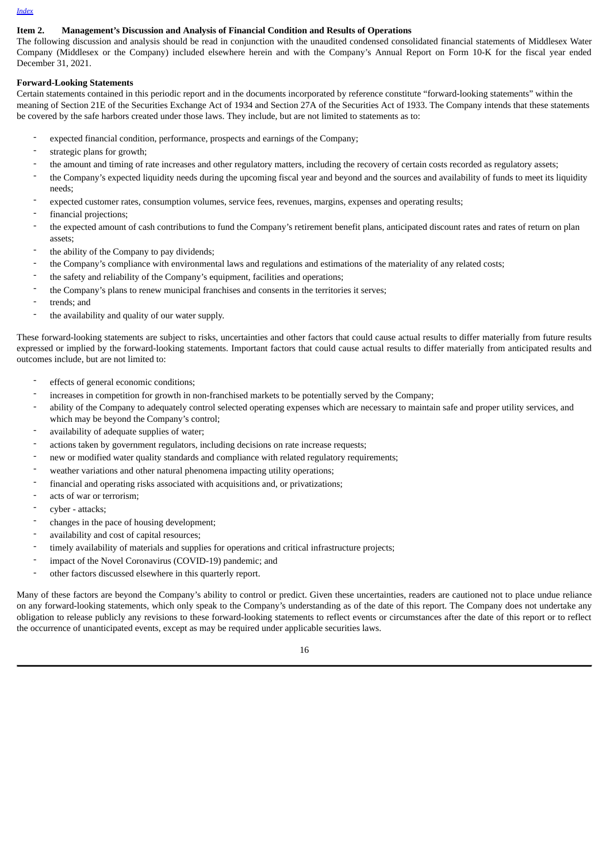### <span id="page-17-0"></span>**Item 2. Management's Discussion and Analysis of Financial Condition and Results of Operations**

The following discussion and analysis should be read in conjunction with the unaudited condensed consolidated financial statements of Middlesex Water Company (Middlesex or the Company) included elsewhere herein and with the Company's Annual Report on Form 10-K for the fiscal year ended December 31, 2021.

## **Forward-Looking Statements**

Certain statements contained in this periodic report and in the documents incorporated by reference constitute "forward-looking statements" within the meaning of Section 21E of the Securities Exchange Act of 1934 and Section 27A of the Securities Act of 1933. The Company intends that these statements be covered by the safe harbors created under those laws. They include, but are not limited to statements as to:

- expected financial condition, performance, prospects and earnings of the Company;
- strategic plans for growth;
- the amount and timing of rate increases and other regulatory matters, including the recovery of certain costs recorded as regulatory assets;
- the Company's expected liquidity needs during the upcoming fiscal year and beyond and the sources and availability of funds to meet its liquidity needs;
- expected customer rates, consumption volumes, service fees, revenues, margins, expenses and operating results;
- financial projections;
- the expected amount of cash contributions to fund the Company's retirement benefit plans, anticipated discount rates and rates of return on plan assets;
- the ability of the Company to pay dividends;
- the Company's compliance with environmental laws and regulations and estimations of the materiality of any related costs;
- the safety and reliability of the Company's equipment, facilities and operations;
- the Company's plans to renew municipal franchises and consents in the territories it serves;
- trends; and
- the availability and quality of our water supply.

These forward-looking statements are subject to risks, uncertainties and other factors that could cause actual results to differ materially from future results expressed or implied by the forward-looking statements. Important factors that could cause actual results to differ materially from anticipated results and outcomes include, but are not limited to:

- effects of general economic conditions;
- increases in competition for growth in non-franchised markets to be potentially served by the Company;
- ability of the Company to adequately control selected operating expenses which are necessary to maintain safe and proper utility services, and which may be beyond the Company's control;
- availability of adequate supplies of water;
- actions taken by government regulators, including decisions on rate increase requests;
- new or modified water quality standards and compliance with related regulatory requirements;
- weather variations and other natural phenomena impacting utility operations;
- financial and operating risks associated with acquisitions and, or privatizations;
- acts of war or terrorism;
- cyber attacks;
- changes in the pace of housing development;
- availability and cost of capital resources;
- timely availability of materials and supplies for operations and critical infrastructure projects;
- impact of the Novel Coronavirus (COVID-19) pandemic; and
- other factors discussed elsewhere in this quarterly report.

Many of these factors are beyond the Company's ability to control or predict. Given these uncertainties, readers are cautioned not to place undue reliance on any forward-looking statements, which only speak to the Company's understanding as of the date of this report. The Company does not undertake any obligation to release publicly any revisions to these forward-looking statements to reflect events or circumstances after the date of this report or to reflect the occurrence of unanticipated events, except as may be required under applicable securities laws.

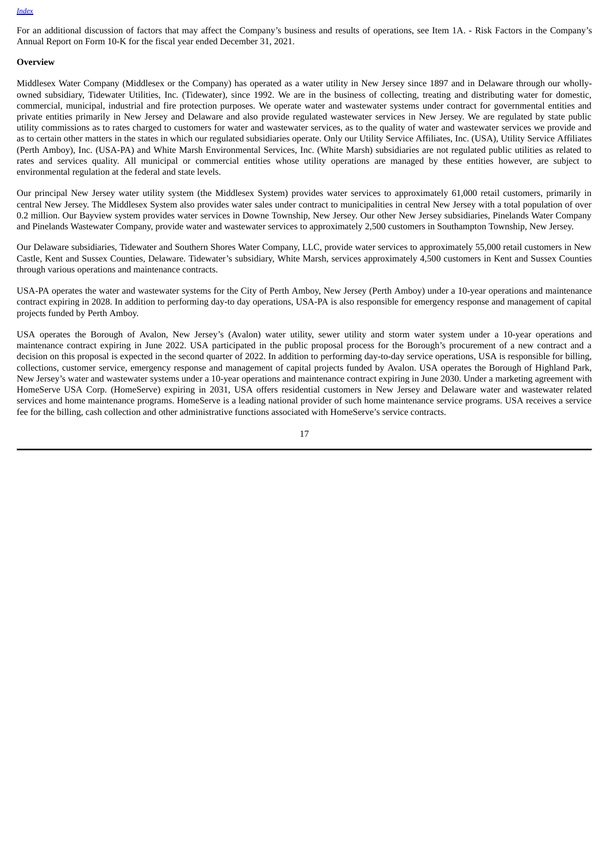For an additional discussion of factors that may affect the Company's business and results of operations, see Item 1A. - Risk Factors in the Company's Annual Report on Form 10-K for the fiscal year ended December 31, 2021.

#### **Overview**

Middlesex Water Company (Middlesex or the Company) has operated as a water utility in New Jersey since 1897 and in Delaware through our whollyowned subsidiary, Tidewater Utilities, Inc. (Tidewater), since 1992. We are in the business of collecting, treating and distributing water for domestic, commercial, municipal, industrial and fire protection purposes. We operate water and wastewater systems under contract for governmental entities and private entities primarily in New Jersey and Delaware and also provide regulated wastewater services in New Jersey. We are regulated by state public utility commissions as to rates charged to customers for water and wastewater services, as to the quality of water and wastewater services we provide and as to certain other matters in the states in which our regulated subsidiaries operate. Only our Utility Service Affiliates, Inc. (USA), Utility Service Affiliates (Perth Amboy), Inc. (USA-PA) and White Marsh Environmental Services, Inc. (White Marsh) subsidiaries are not regulated public utilities as related to rates and services quality. All municipal or commercial entities whose utility operations are managed by these entities however, are subject to environmental regulation at the federal and state levels.

Our principal New Jersey water utility system (the Middlesex System) provides water services to approximately 61,000 retail customers, primarily in central New Jersey. The Middlesex System also provides water sales under contract to municipalities in central New Jersey with a total population of over 0.2 million. Our Bayview system provides water services in Downe Township, New Jersey. Our other New Jersey subsidiaries, Pinelands Water Company and Pinelands Wastewater Company, provide water and wastewater services to approximately 2,500 customers in Southampton Township, New Jersey.

Our Delaware subsidiaries, Tidewater and Southern Shores Water Company, LLC, provide water services to approximately 55,000 retail customers in New Castle, Kent and Sussex Counties, Delaware. Tidewater's subsidiary, White Marsh, services approximately 4,500 customers in Kent and Sussex Counties through various operations and maintenance contracts.

USA-PA operates the water and wastewater systems for the City of Perth Amboy, New Jersey (Perth Amboy) under a 10-year operations and maintenance contract expiring in 2028. In addition to performing day-to day operations, USA-PA is also responsible for emergency response and management of capital projects funded by Perth Amboy.

USA operates the Borough of Avalon, New Jersey's (Avalon) water utility, sewer utility and storm water system under a 10-year operations and maintenance contract expiring in June 2022. USA participated in the public proposal process for the Borough's procurement of a new contract and a decision on this proposal is expected in the second quarter of 2022. In addition to performing day-to-day service operations, USA is responsible for billing, collections, customer service, emergency response and management of capital projects funded by Avalon. USA operates the Borough of Highland Park, New Jersey's water and wastewater systems under a 10-year operations and maintenance contract expiring in June 2030. Under a marketing agreement with HomeServe USA Corp. (HomeServe) expiring in 2031, USA offers residential customers in New Jersey and Delaware water and wastewater related services and home maintenance programs. HomeServe is a leading national provider of such home maintenance service programs. USA receives a service fee for the billing, cash collection and other administrative functions associated with HomeServe's service contracts.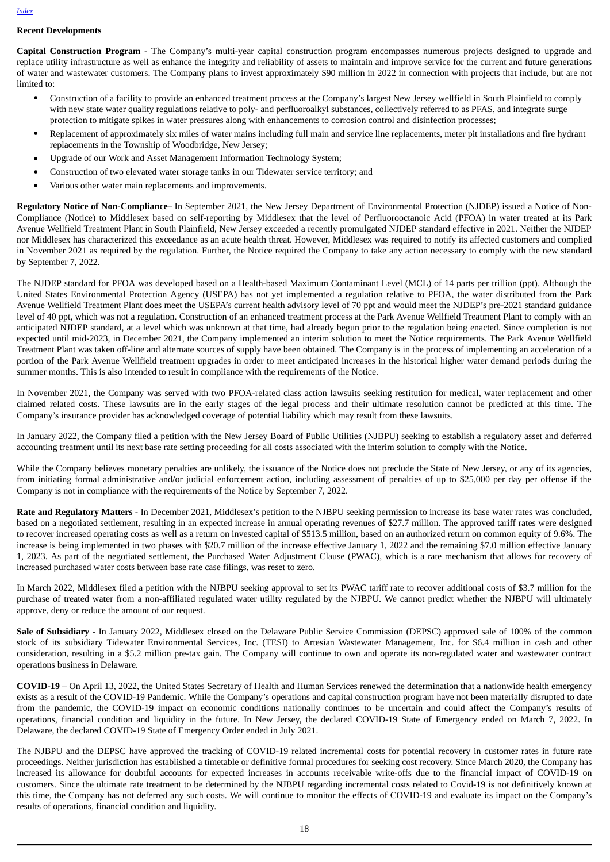## **Recent Developments**

**Capital Construction Program -** The Company's multi-year capital construction program encompasses numerous projects designed to upgrade and replace utility infrastructure as well as enhance the integrity and reliability of assets to maintain and improve service for the current and future generations of water and wastewater customers. The Company plans to invest approximately \$90 million in 2022 in connection with projects that include, but are not limited to:

- Construction of <sup>a</sup> facility to provide an enhanced treatment process at the Company's largest New Jersey wellfield in South Plainfield to comply with new state water quality regulations relative to poly- and perfluoroalkyl substances, collectively referred to as PFAS, and integrate surge protection to mitigate spikes in water pressures along with enhancements to corrosion control and disinfection processes;
- Replacement of approximately six miles of water mains including full main and service line replacements, meter pit installations and fire hydrant replacements in the Township of Woodbridge, New Jersey;
- Upgrade of our Work and Asset Management Information Technology System;
- Construction of two elevated water storage tanks in our Tidewater service territory; and
- Various other water main replacements and improvements.

**Regulatory Notice of Non-Compliance–** In September 2021, the New Jersey Department of Environmental Protection (NJDEP) issued a Notice of Non-Compliance (Notice) to Middlesex based on self-reporting by Middlesex that the level of Perfluorooctanoic Acid (PFOA) in water treated at its Park Avenue Wellfield Treatment Plant in South Plainfield, New Jersey exceeded a recently promulgated NJDEP standard effective in 2021. Neither the NJDEP nor Middlesex has characterized this exceedance as an acute health threat. However, Middlesex was required to notify its affected customers and complied in November 2021 as required by the regulation. Further, the Notice required the Company to take any action necessary to comply with the new standard by September 7, 2022.

The NJDEP standard for PFOA was developed based on a Health-based Maximum Contaminant Level (MCL) of 14 parts per trillion (ppt). Although the United States Environmental Protection Agency (USEPA) has not yet implemented a regulation relative to PFOA, the water distributed from the Park Avenue Wellfield Treatment Plant does meet the USEPA's current health advisory level of 70 ppt and would meet the NJDEP's pre-2021 standard guidance level of 40 ppt, which was not a regulation. Construction of an enhanced treatment process at the Park Avenue Wellfield Treatment Plant to comply with an anticipated NJDEP standard, at a level which was unknown at that time, had already begun prior to the regulation being enacted. Since completion is not expected until mid-2023, in December 2021, the Company implemented an interim solution to meet the Notice requirements. The Park Avenue Wellfield Treatment Plant was taken off-line and alternate sources of supply have been obtained. The Company is in the process of implementing an acceleration of a portion of the Park Avenue Wellfield treatment upgrades in order to meet anticipated increases in the historical higher water demand periods during the summer months. This is also intended to result in compliance with the requirements of the Notice.

In November 2021, the Company was served with two PFOA-related class action lawsuits seeking restitution for medical, water replacement and other claimed related costs. These lawsuits are in the early stages of the legal process and their ultimate resolution cannot be predicted at this time. The Company's insurance provider has acknowledged coverage of potential liability which may result from these lawsuits.

In January 2022, the Company filed a petition with the New Jersey Board of Public Utilities (NJBPU) seeking to establish a regulatory asset and deferred accounting treatment until its next base rate setting proceeding for all costs associated with the interim solution to comply with the Notice.

While the Company believes monetary penalties are unlikely, the issuance of the Notice does not preclude the State of New Jersey, or any of its agencies, from initiating formal administrative and/or judicial enforcement action, including assessment of penalties of up to \$25,000 per day per offense if the Company is not in compliance with the requirements of the Notice by September 7, 2022.

**Rate and Regulatory Matters -** In December 2021, Middlesex's petition to the NJBPU seeking permission to increase its base water rates was concluded, based on a negotiated settlement, resulting in an expected increase in annual operating revenues of \$27.7 million. The approved tariff rates were designed to recover increased operating costs as well as a return on invested capital of \$513.5 million, based on an authorized return on common equity of 9.6%. The increase is being implemented in two phases with \$20.7 million of the increase effective January 1, 2022 and the remaining \$7.0 million effective January 1, 2023. As part of the negotiated settlement, the Purchased Water Adjustment Clause (PWAC), which is a rate mechanism that allows for recovery of increased purchased water costs between base rate case filings, was reset to zero.

In March 2022, Middlesex filed a petition with the NJBPU seeking approval to set its PWAC tariff rate to recover additional costs of \$3.7 million for the purchase of treated water from a non-affiliated regulated water utility regulated by the NJBPU. We cannot predict whether the NJBPU will ultimately approve, deny or reduce the amount of our request.

**Sale of Subsidiary** - In January 2022, Middlesex closed on the Delaware Public Service Commission (DEPSC) approved sale of 100% of the common stock of its subsidiary Tidewater Environmental Services, Inc. (TESI) to Artesian Wastewater Management, Inc. for \$6.4 million in cash and other consideration, resulting in a \$5.2 million pre-tax gain. The Company will continue to own and operate its non-regulated water and wastewater contract operations business in Delaware.

**COVID-19** – On April 13, 2022, the United States Secretary of Health and Human Services renewed the determination that a nationwide health emergency exists as a result of the COVID-19 Pandemic. While the Company's operations and capital construction program have not been materially disrupted to date from the pandemic, the COVID-19 impact on economic conditions nationally continues to be uncertain and could affect the Company's results of operations, financial condition and liquidity in the future. In New Jersey, the declared COVID-19 State of Emergency ended on March 7, 2022. In Delaware, the declared COVID-19 State of Emergency Order ended in July 2021.

The NJBPU and the DEPSC have approved the tracking of COVID-19 related incremental costs for potential recovery in customer rates in future rate proceedings. Neither jurisdiction has established a timetable or definitive formal procedures for seeking cost recovery. Since March 2020, the Company has increased its allowance for doubtful accounts for expected increases in accounts receivable write-offs due to the financial impact of COVID-19 on customers. Since the ultimate rate treatment to be determined by the NJBPU regarding incremental costs related to Covid-19 is not definitively known at this time, the Company has not deferred any such costs. We will continue to monitor the effects of COVID-19 and evaluate its impact on the Company's results of operations, financial condition and liquidity.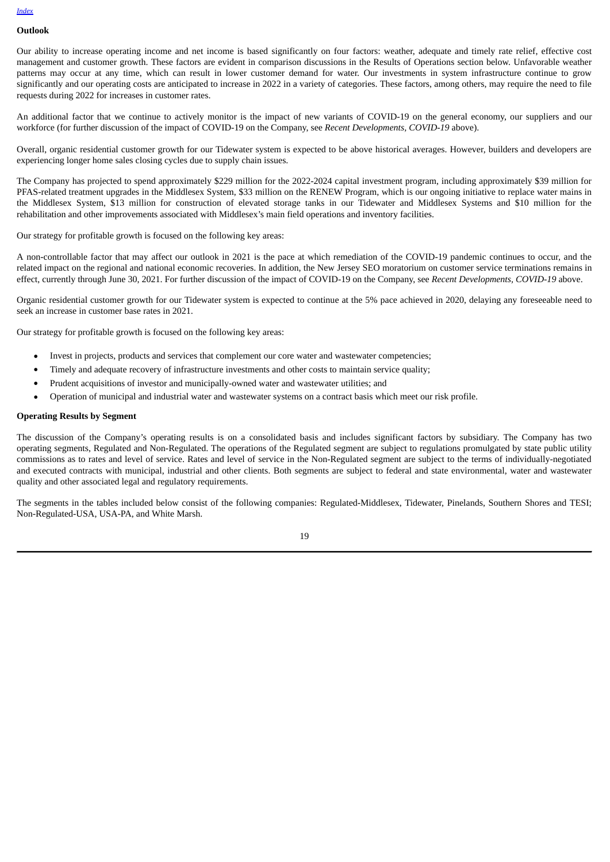## **Outlook**

Our ability to increase operating income and net income is based significantly on four factors: weather, adequate and timely rate relief, effective cost management and customer growth. These factors are evident in comparison discussions in the Results of Operations section below. Unfavorable weather patterns may occur at any time, which can result in lower customer demand for water. Our investments in system infrastructure continue to grow significantly and our operating costs are anticipated to increase in 2022 in a variety of categories. These factors, among others, may require the need to file requests during 2022 for increases in customer rates.

An additional factor that we continue to actively monitor is the impact of new variants of COVID-19 on the general economy, our suppliers and our workforce (for further discussion of the impact of COVID-19 on the Company, see *Recent Developments, COVID-19* above).

Overall, organic residential customer growth for our Tidewater system is expected to be above historical averages. However, builders and developers are experiencing longer home sales closing cycles due to supply chain issues.

The Company has projected to spend approximately \$229 million for the 2022-2024 capital investment program, including approximately \$39 million for PFAS-related treatment upgrades in the Middlesex System, \$33 million on the RENEW Program, which is our ongoing initiative to replace water mains in the Middlesex System, \$13 million for construction of elevated storage tanks in our Tidewater and Middlesex Systems and \$10 million for the rehabilitation and other improvements associated with Middlesex's main field operations and inventory facilities.

Our strategy for profitable growth is focused on the following key areas:

A non-controllable factor that may affect our outlook in 2021 is the pace at which remediation of the COVID-19 pandemic continues to occur, and the related impact on the regional and national economic recoveries. In addition, the New Jersey SEO moratorium on customer service terminations remains in effect, currently through June 30, 2021. For further discussion of the impact of COVID-19 on the Company, see *Recent Developments, COVID-19* above.

Organic residential customer growth for our Tidewater system is expected to continue at the 5% pace achieved in 2020, delaying any foreseeable need to seek an increase in customer base rates in 2021.

Our strategy for profitable growth is focused on the following key areas:

- Invest in projects, products and services that complement our core water and wastewater competencies;
- Timely and adequate recovery of infrastructure investments and other costs to maintain service quality;
- Prudent acquisitions of investor and municipally-owned water and wastewater utilities; and
- Operation of municipal and industrial water and wastewater systems on <sup>a</sup> contract basis which meet our risk profile.

#### **Operating Results by Segment**

The discussion of the Company's operating results is on a consolidated basis and includes significant factors by subsidiary. The Company has two operating segments, Regulated and Non-Regulated. The operations of the Regulated segment are subject to regulations promulgated by state public utility commissions as to rates and level of service. Rates and level of service in the Non-Regulated segment are subject to the terms of individually-negotiated and executed contracts with municipal, industrial and other clients. Both segments are subject to federal and state environmental, water and wastewater quality and other associated legal and regulatory requirements.

The segments in the tables included below consist of the following companies: Regulated-Middlesex, Tidewater, Pinelands, Southern Shores and TESI; Non-Regulated-USA, USA-PA, and White Marsh.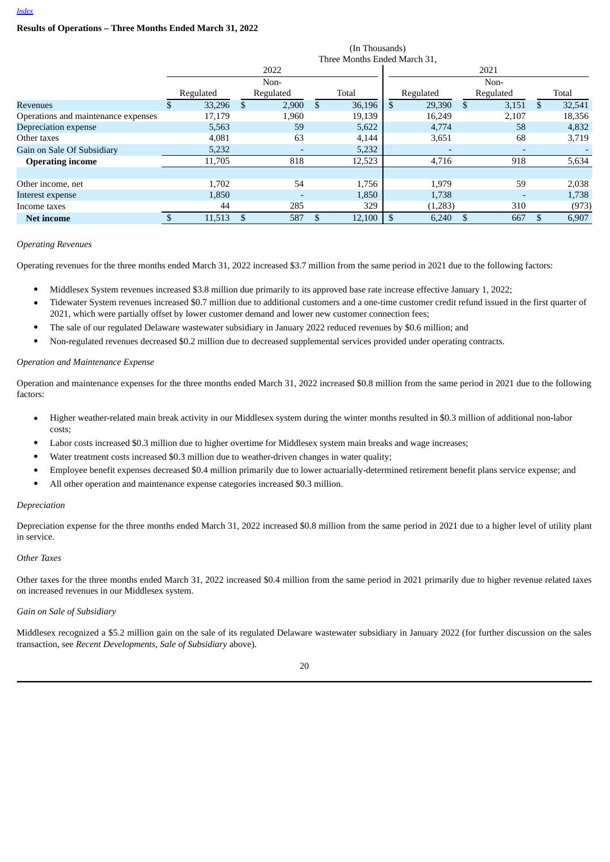## **Results of Operations – Three Months Ended March 31, 2022**

|                                     | (In Thousands)                  |    |                          |    |           |           |                          |       |       |     |        |  |
|-------------------------------------|---------------------------------|----|--------------------------|----|-----------|-----------|--------------------------|-------|-------|-----|--------|--|
|                                     | Three Months Ended March 31,    |    |                          |    |           |           |                          |       |       |     |        |  |
|                                     |                                 |    | 2022                     |    |           |           | 2021                     |       |       |     |        |  |
|                                     |                                 |    | Non-                     |    |           |           | Non-                     |       |       |     |        |  |
|                                     | Regulated<br>Regulated<br>Total |    |                          |    | Regulated | Regulated |                          | Total |       |     |        |  |
| <b>Revenues</b>                     | 33,296                          | \$ | 2,900                    | \$ | 36,196    |           | 29,390                   | \$    | 3,151 | \$. | 32,541 |  |
| Operations and maintenance expenses | 17,179                          |    | 1,960                    |    | 19,139    |           | 16,249                   |       | 2,107 |     | 18,356 |  |
| Depreciation expense                | 5,563                           |    | 59                       |    | 5,622     |           | 4,774                    |       | 58    |     | 4,832  |  |
| Other taxes                         | 4,081                           |    | 63                       |    | 4,144     |           | 3,651                    |       | 68    |     | 3,719  |  |
| Gain on Sale Of Subsidiary          | 5,232                           |    | $\overline{\phantom{a}}$ |    | 5,232     |           | $\overline{\phantom{0}}$ |       |       |     |        |  |
| <b>Operating income</b>             | 11,705                          |    | 818                      |    | 12,523    |           | 4,716                    |       | 918   |     | 5,634  |  |
|                                     |                                 |    |                          |    |           |           |                          |       |       |     |        |  |
| Other income, net                   | 1,702                           |    | 54                       |    | 1,756     |           | 1,979                    |       | 59    |     | 2,038  |  |
| Interest expense                    | 1,850                           |    | $\overline{\phantom{a}}$ |    | 1,850     |           | 1,738                    |       |       |     | 1,738  |  |
| Income taxes                        | 44                              |    | 285                      |    | 329       |           | (1,283)                  |       | 310   |     | (973)  |  |
| <b>Net income</b>                   | 11,513                          | \$ | 587                      |    | 12,100    |           | 6,240                    | \$    | 667   |     | 6,907  |  |

### *Operating Revenues*

Operating revenues for the three months ended March 31, 2022 increased \$3.7 million from the same period in 2021 due to the following factors:

- Middlesex System revenues increased \$3.8 million due primarily to its approved base rate increase effective January 1, 2022;
- Tidewater System revenues increased \$0.7 million due to additional customers and <sup>a</sup> one-time customer credit refund issued in the first quarter of 2021, which were partially offset by lower customer demand and lower new customer connection fees;
- The sale of our regulated Delaware wastewater subsidiary in January <sup>2022</sup> reduced revenues by \$0.6 million; and
- Non-regulated revenues decreased \$0.2 million due to decreased supplemental services provided under operating contracts.

## *Operation and Maintenance Expense*

Operation and maintenance expenses for the three months ended March 31, 2022 increased \$0.8 million from the same period in 2021 due to the following factors:

- Higher weather-related main break activity in our Middlesex system during the winter months resulted in \$0.3 million of additional non-labor costs;
- Labor costs increased \$0.3 million due to higher overtime for Middlesex system main breaks and wage increases;
- Water treatment costs increased \$0.3 million due to weather-driven changes in water quality;
- Employee benefit expenses decreased \$0.4 million primarily due to lower actuarially-determined retirement benefit plans service expense; and
- All other operation and maintenance expense categories increased \$0.3 million.

#### *Depreciation*

Depreciation expense for the three months ended March 31, 2022 increased \$0.8 million from the same period in 2021 due to a higher level of utility plant in service.

## *Other Taxes*

Other taxes for the three months ended March 31, 2022 increased \$0.4 million from the same period in 2021 primarily due to higher revenue related taxes on increased revenues in our Middlesex system.

## *Gain on Sale of Subsidiary*

Middlesex recognized a \$5.2 million gain on the sale of its regulated Delaware wastewater subsidiary in January 2022 (for further discussion on the sales transaction, see *Recent Developments, Sale of Subsidiary* above).

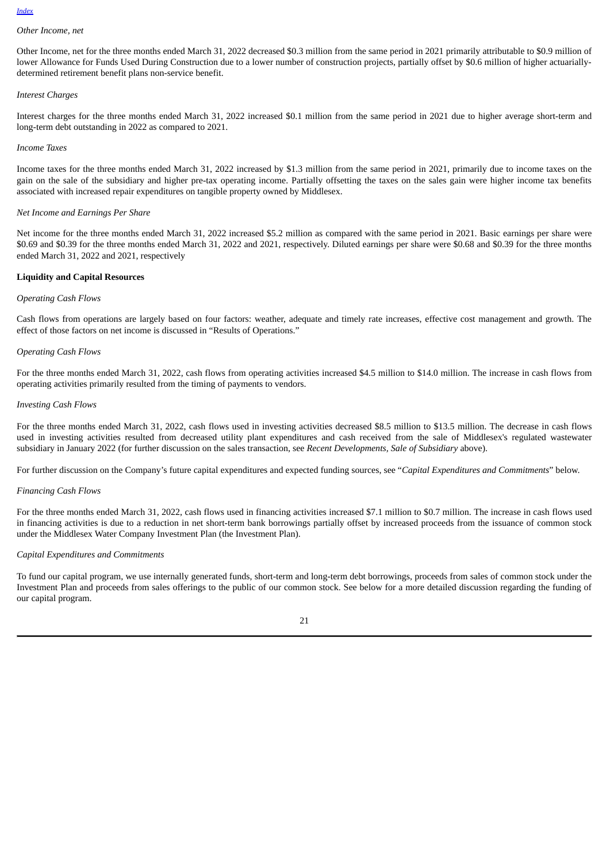## *Other Income, net*

Other Income, net for the three months ended March 31, 2022 decreased \$0.3 million from the same period in 2021 primarily attributable to \$0.9 million of lower Allowance for Funds Used During Construction due to a lower number of construction projects, partially offset by \$0.6 million of higher actuariallydetermined retirement benefit plans non-service benefit.

#### *Interest Charges*

Interest charges for the three months ended March 31, 2022 increased \$0.1 million from the same period in 2021 due to higher average short-term and long-term debt outstanding in 2022 as compared to 2021.

#### *Income Taxes*

Income taxes for the three months ended March 31, 2022 increased by \$1.3 million from the same period in 2021, primarily due to income taxes on the gain on the sale of the subsidiary and higher pre-tax operating income. Partially offsetting the taxes on the sales gain were higher income tax benefits associated with increased repair expenditures on tangible property owned by Middlesex.

#### *Net Income and Earnings Per Share*

Net income for the three months ended March 31, 2022 increased \$5.2 million as compared with the same period in 2021. Basic earnings per share were \$0.69 and \$0.39 for the three months ended March 31, 2022 and 2021, respectively. Diluted earnings per share were \$0.68 and \$0.39 for the three months ended March 31, 2022 and 2021, respectively

### **Liquidity and Capital Resources**

### *Operating Cash Flows*

Cash flows from operations are largely based on four factors: weather, adequate and timely rate increases, effective cost management and growth. The effect of those factors on net income is discussed in "Results of Operations."

### *Operating Cash Flows*

For the three months ended March 31, 2022, cash flows from operating activities increased \$4.5 million to \$14.0 million. The increase in cash flows from operating activities primarily resulted from the timing of payments to vendors.

#### *Investing Cash Flows*

For the three months ended March 31, 2022, cash flows used in investing activities decreased \$8.5 million to \$13.5 million. The decrease in cash flows used in investing activities resulted from decreased utility plant expenditures and cash received from the sale of Middlesex's regulated wastewater subsidiary in January 2022 (for further discussion on the sales transaction, see *Recent Developments, Sale of Subsidiary* above).

For further discussion on the Company's future capital expenditures and expected funding sources, see "*Capital Expenditures and Commitments*" below.

#### *Financing Cash Flows*

For the three months ended March 31, 2022, cash flows used in financing activities increased \$7.1 million to \$0.7 million. The increase in cash flows used in financing activities is due to a reduction in net short-term bank borrowings partially offset by increased proceeds from the issuance of common stock under the Middlesex Water Company Investment Plan (the Investment Plan).

### *Capital Expenditures and Commitments*

To fund our capital program, we use internally generated funds, short-term and long-term debt borrowings, proceeds from sales of common stock under the Investment Plan and proceeds from sales offerings to the public of our common stock. See below for a more detailed discussion regarding the funding of our capital program.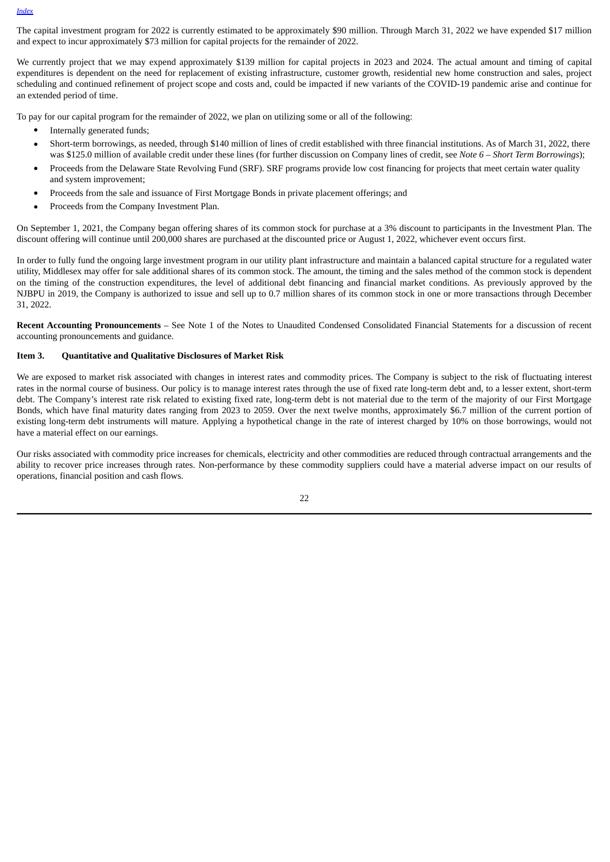The capital investment program for 2022 is currently estimated to be approximately \$90 million. Through March 31, 2022 we have expended \$17 million and expect to incur approximately \$73 million for capital projects for the remainder of 2022.

We currently project that we may expend approximately \$139 million for capital projects in 2023 and 2024. The actual amount and timing of capital expenditures is dependent on the need for replacement of existing infrastructure, customer growth, residential new home construction and sales, project scheduling and continued refinement of project scope and costs and, could be impacted if new variants of the COVID-19 pandemic arise and continue for an extended period of time.

To pay for our capital program for the remainder of 2022, we plan on utilizing some or all of the following:

- Internally generated funds;
- Short-term borrowings, as needed, through \$140 million of lines of credit established with three financial institutions. As of March 31, 2022, there was \$125.0 million of available credit under these lines (for further discussion on Company lines of credit, see *Note 6* – *Short Term Borrowings*);
- Proceeds from the Delaware State Revolving Fund (SRF). SRF programs provide low cost financing for projects that meet certain water quality and system improvement;
- Proceeds from the sale and issuance of First Mortgage Bonds in private placement offerings; and
- Proceeds from the Company Investment Plan.

On September 1, 2021, the Company began offering shares of its common stock for purchase at a 3% discount to participants in the Investment Plan. The discount offering will continue until 200,000 shares are purchased at the discounted price or August 1, 2022, whichever event occurs first.

In order to fully fund the ongoing large investment program in our utility plant infrastructure and maintain a balanced capital structure for a regulated water utility, Middlesex may offer for sale additional shares of its common stock. The amount, the timing and the sales method of the common stock is dependent on the timing of the construction expenditures, the level of additional debt financing and financial market conditions. As previously approved by the NJBPU in 2019, the Company is authorized to issue and sell up to 0.7 million shares of its common stock in one or more transactions through December 31, 2022.

**Recent Accounting Pronouncements** – See Note 1 of the Notes to Unaudited Condensed Consolidated Financial Statements for a discussion of recent accounting pronouncements and guidance.

### <span id="page-23-0"></span>**Item 3. Quantitative and Qualitative Disclosures of Market Risk**

We are exposed to market risk associated with changes in interest rates and commodity prices. The Company is subject to the risk of fluctuating interest rates in the normal course of business. Our policy is to manage interest rates through the use of fixed rate long-term debt and, to a lesser extent, short-term debt. The Company's interest rate risk related to existing fixed rate, long-term debt is not material due to the term of the majority of our First Mortgage Bonds, which have final maturity dates ranging from 2023 to 2059. Over the next twelve months, approximately \$6.7 million of the current portion of existing long-term debt instruments will mature. Applying a hypothetical change in the rate of interest charged by 10% on those borrowings, would not have a material effect on our earnings.

Our risks associated with commodity price increases for chemicals, electricity and other commodities are reduced through contractual arrangements and the ability to recover price increases through rates. Non-performance by these commodity suppliers could have a material adverse impact on our results of operations, financial position and cash flows.

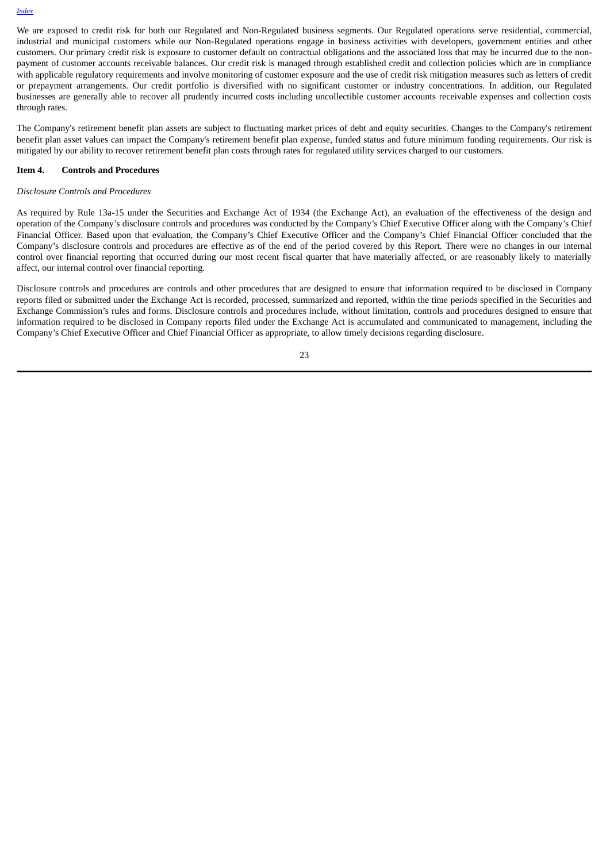We are exposed to credit risk for both our Regulated and Non-Regulated business segments. Our Regulated operations serve residential, commercial, industrial and municipal customers while our Non-Regulated operations engage in business activities with developers, government entities and other customers. Our primary credit risk is exposure to customer default on contractual obligations and the associated loss that may be incurred due to the nonpayment of customer accounts receivable balances. Our credit risk is managed through established credit and collection policies which are in compliance with applicable regulatory requirements and involve monitoring of customer exposure and the use of credit risk mitigation measures such as letters of credit or prepayment arrangements. Our credit portfolio is diversified with no significant customer or industry concentrations. In addition, our Regulated businesses are generally able to recover all prudently incurred costs including uncollectible customer accounts receivable expenses and collection costs through rates.

The Company's retirement benefit plan assets are subject to fluctuating market prices of debt and equity securities. Changes to the Company's retirement benefit plan asset values can impact the Company's retirement benefit plan expense, funded status and future minimum funding requirements. Our risk is mitigated by our ability to recover retirement benefit plan costs through rates for regulated utility services charged to our customers.

#### <span id="page-24-0"></span>**Item 4. Controls and Procedures**

#### *Disclosure Controls and Procedures*

As required by Rule 13a-15 under the Securities and Exchange Act of 1934 (the Exchange Act), an evaluation of the effectiveness of the design and operation of the Company's disclosure controls and procedures was conducted by the Company's Chief Executive Officer along with the Company's Chief Financial Officer. Based upon that evaluation, the Company's Chief Executive Officer and the Company's Chief Financial Officer concluded that the Company's disclosure controls and procedures are effective as of the end of the period covered by this Report. There were no changes in our internal control over financial reporting that occurred during our most recent fiscal quarter that have materially affected, or are reasonably likely to materially affect, our internal control over financial reporting.

Disclosure controls and procedures are controls and other procedures that are designed to ensure that information required to be disclosed in Company reports filed or submitted under the Exchange Act is recorded, processed, summarized and reported, within the time periods specified in the Securities and Exchange Commission's rules and forms. Disclosure controls and procedures include, without limitation, controls and procedures designed to ensure that information required to be disclosed in Company reports filed under the Exchange Act is accumulated and communicated to management, including the Company's Chief Executive Officer and Chief Financial Officer as appropriate, to allow timely decisions regarding disclosure.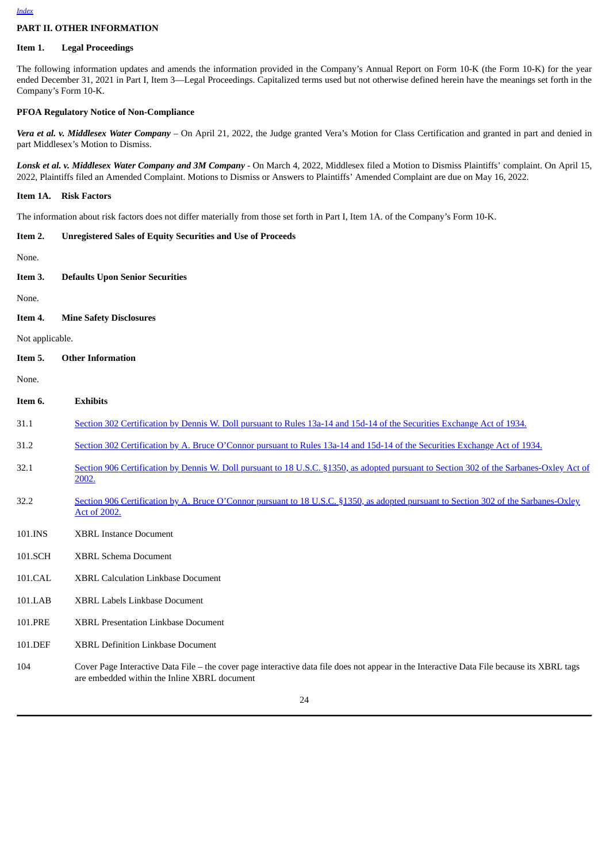## <span id="page-25-0"></span>**PART II. OTHER INFORMATION**

#### <span id="page-25-1"></span>**Item 1. Legal Proceedings**

The following information updates and amends the information provided in the Company's Annual Report on Form 10-K (the Form 10-K) for the year ended December 31, 2021 in Part I, Item 3—Legal Proceedings. Capitalized terms used but not otherwise defined herein have the meanings set forth in the Company's Form 10-K.

#### **PFOA Regulatory Notice of Non-Compliance**

*Vera et al. v. Middlesex Water Company* – On April 21, 2022, the Judge granted Vera's Motion for Class Certification and granted in part and denied in part Middlesex's Motion to Dismiss.

*Lonsk et al. v. Middlesex Water Company and 3M Company -* On March 4, 2022, Middlesex filed a Motion to Dismiss Plaintiffs' complaint. On April 15, 2022, Plaintiffs filed an Amended Complaint. Motions to Dismiss or Answers to Plaintiffs' Amended Complaint are due on May 16, 2022.

## <span id="page-25-2"></span>**Item 1A. Risk Factors**

The information about risk factors does not differ materially from those set forth in Part I, Item 1A. of the Company's Form 10-K.

### <span id="page-25-3"></span>**Item 2. Unregistered Sales of Equity Securities and Use of Proceeds**

None.

### <span id="page-25-4"></span>**Item 3. Defaults Upon Senior Securities**

None.

#### <span id="page-25-5"></span>**Item 4. Mine Safety Disclosures**

Not applicable.

<span id="page-25-6"></span>**Item 5. Other Information**

<span id="page-25-7"></span>

| None.   |                                                                                                                                                                                            |
|---------|--------------------------------------------------------------------------------------------------------------------------------------------------------------------------------------------|
| Item 6. | <b>Exhibits</b>                                                                                                                                                                            |
| 31.1    | Section 302 Certification by Dennis W. Doll pursuant to Rules 13a-14 and 15d-14 of the Securities Exchange Act of 1934.                                                                    |
| 31.2    | Section 302 Certification by A. Bruce O'Connor pursuant to Rules 13a-14 and 15d-14 of the Securities Exchange Act of 1934.                                                                 |
| 32.1    | Section 906 Certification by Dennis W. Doll pursuant to 18 U.S.C. §1350, as adopted pursuant to Section 302 of the Sarbanes-Oxley Act of<br>2002.                                          |
| 32.2    | Section 906 Certification by A. Bruce O'Connor pursuant to 18 U.S.C. §1350, as adopted pursuant to Section 302 of the Sarbanes-Oxley<br>Act of 2002.                                       |
| 101.INS | <b>XBRL Instance Document</b>                                                                                                                                                              |
| 101.SCH | <b>XBRL Schema Document</b>                                                                                                                                                                |
| 101.CAL | <b>XBRL Calculation Linkbase Document</b>                                                                                                                                                  |
| 101.LAB | <b>XBRL Labels Linkbase Document</b>                                                                                                                                                       |
| 101.PRE | <b>XBRL Presentation Linkbase Document</b>                                                                                                                                                 |
| 101.DEF | <b>XBRL Definition Linkbase Document</b>                                                                                                                                                   |
| 104     | Cover Page Interactive Data File – the cover page interactive data file does not appear in the Interactive Data File because its XBRL tags<br>are embedded within the Inline XBRL document |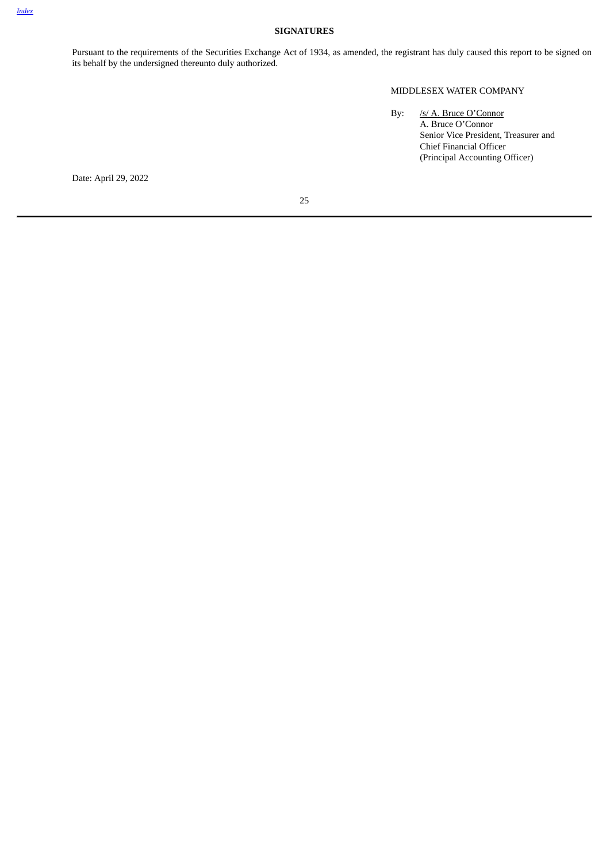## **SIGNATURES**

<span id="page-26-0"></span>Pursuant to the requirements of the Securities Exchange Act of 1934, as amended, the registrant has duly caused this report to be signed on its behalf by the undersigned thereunto duly authorized.

### MIDDLESEX WATER COMPANY

By: /s/ A. Bruce O'Connor A. Bruce O'Connor Senior Vice President, Treasurer and Chief Financial Officer (Principal Accounting Officer)

Date: April 29, 2022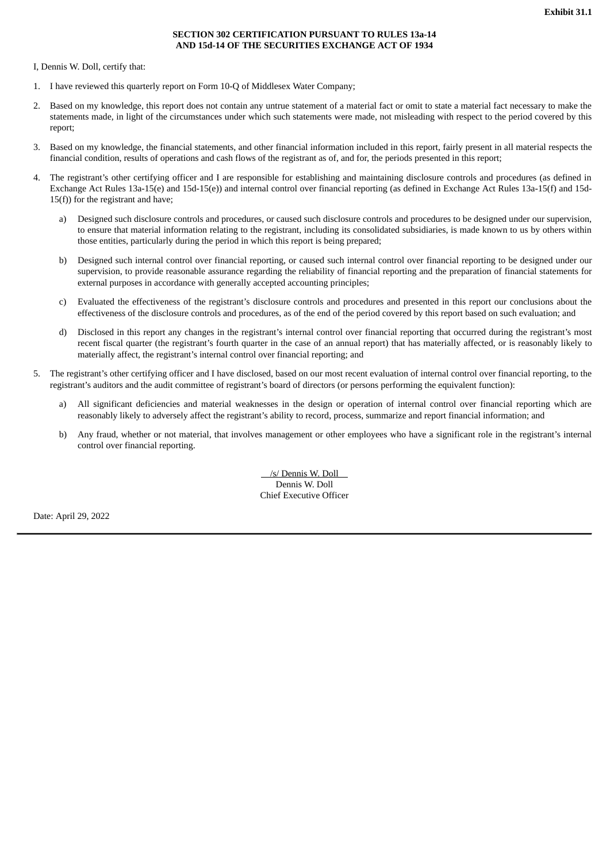### **SECTION 302 CERTIFICATION PURSUANT TO RULES 13a-14 AND 15d-14 OF THE SECURITIES EXCHANGE ACT OF 1934**

<span id="page-27-0"></span>I, Dennis W. Doll, certify that:

- 1. I have reviewed this quarterly report on Form 10-Q of Middlesex Water Company;
- 2. Based on my knowledge, this report does not contain any untrue statement of a material fact or omit to state a material fact necessary to make the statements made, in light of the circumstances under which such statements were made, not misleading with respect to the period covered by this report;
- 3. Based on my knowledge, the financial statements, and other financial information included in this report, fairly present in all material respects the financial condition, results of operations and cash flows of the registrant as of, and for, the periods presented in this report;
- 4. The registrant's other certifying officer and I are responsible for establishing and maintaining disclosure controls and procedures (as defined in Exchange Act Rules 13a-15(e) and 15d-15(e)) and internal control over financial reporting (as defined in Exchange Act Rules 13a-15(f) and 15d-15(f)) for the registrant and have;
	- a) Designed such disclosure controls and procedures, or caused such disclosure controls and procedures to be designed under our supervision, to ensure that material information relating to the registrant, including its consolidated subsidiaries, is made known to us by others within those entities, particularly during the period in which this report is being prepared;
	- b) Designed such internal control over financial reporting, or caused such internal control over financial reporting to be designed under our supervision, to provide reasonable assurance regarding the reliability of financial reporting and the preparation of financial statements for external purposes in accordance with generally accepted accounting principles;
	- c) Evaluated the effectiveness of the registrant's disclosure controls and procedures and presented in this report our conclusions about the effectiveness of the disclosure controls and procedures, as of the end of the period covered by this report based on such evaluation; and
	- d) Disclosed in this report any changes in the registrant's internal control over financial reporting that occurred during the registrant's most recent fiscal quarter (the registrant's fourth quarter in the case of an annual report) that has materially affected, or is reasonably likely to materially affect, the registrant's internal control over financial reporting; and
- 5. The registrant's other certifying officer and I have disclosed, based on our most recent evaluation of internal control over financial reporting, to the registrant's auditors and the audit committee of registrant's board of directors (or persons performing the equivalent function):
	- a) All significant deficiencies and material weaknesses in the design or operation of internal control over financial reporting which are reasonably likely to adversely affect the registrant's ability to record, process, summarize and report financial information; and
	- b) Any fraud, whether or not material, that involves management or other employees who have a significant role in the registrant's internal control over financial reporting.

/s/ Dennis W. Doll Dennis W. Doll Chief Executive Officer

Date: April 29, 2022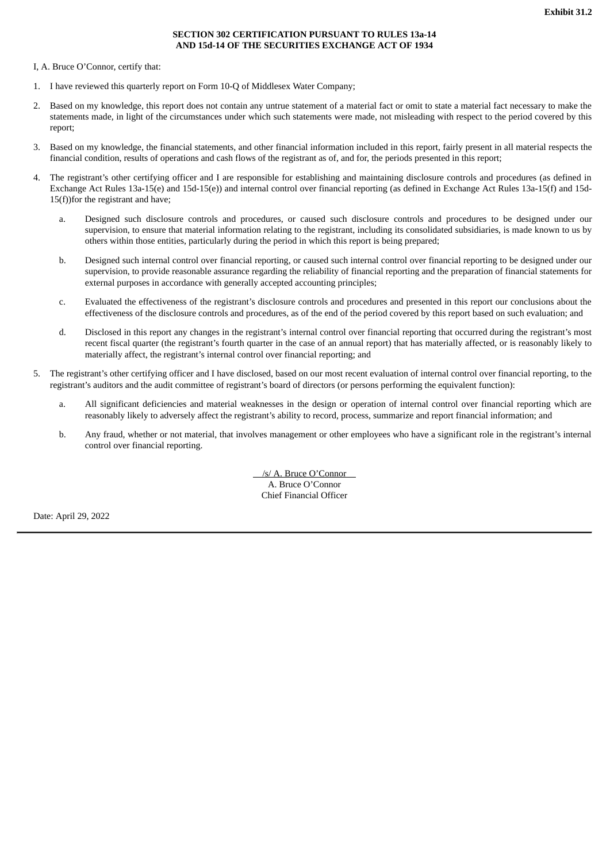### **SECTION 302 CERTIFICATION PURSUANT TO RULES 13a-14 AND 15d-14 OF THE SECURITIES EXCHANGE ACT OF 1934**

<span id="page-28-0"></span>I, A. Bruce O'Connor, certify that:

- 1. I have reviewed this quarterly report on Form 10-Q of Middlesex Water Company;
- 2. Based on my knowledge, this report does not contain any untrue statement of a material fact or omit to state a material fact necessary to make the statements made, in light of the circumstances under which such statements were made, not misleading with respect to the period covered by this report;
- 3. Based on my knowledge, the financial statements, and other financial information included in this report, fairly present in all material respects the financial condition, results of operations and cash flows of the registrant as of, and for, the periods presented in this report;
- 4. The registrant's other certifying officer and I are responsible for establishing and maintaining disclosure controls and procedures (as defined in Exchange Act Rules 13a-15(e) and 15d-15(e)) and internal control over financial reporting (as defined in Exchange Act Rules 13a-15(f) and 15d-15(f))for the registrant and have;
	- a. Designed such disclosure controls and procedures, or caused such disclosure controls and procedures to be designed under our supervision, to ensure that material information relating to the registrant, including its consolidated subsidiaries, is made known to us by others within those entities, particularly during the period in which this report is being prepared;
	- b. Designed such internal control over financial reporting, or caused such internal control over financial reporting to be designed under our supervision, to provide reasonable assurance regarding the reliability of financial reporting and the preparation of financial statements for external purposes in accordance with generally accepted accounting principles;
	- c. Evaluated the effectiveness of the registrant's disclosure controls and procedures and presented in this report our conclusions about the effectiveness of the disclosure controls and procedures, as of the end of the period covered by this report based on such evaluation; and
	- d. Disclosed in this report any changes in the registrant's internal control over financial reporting that occurred during the registrant's most recent fiscal quarter (the registrant's fourth quarter in the case of an annual report) that has materially affected, or is reasonably likely to materially affect, the registrant's internal control over financial reporting; and
- 5. The registrant's other certifying officer and I have disclosed, based on our most recent evaluation of internal control over financial reporting, to the registrant's auditors and the audit committee of registrant's board of directors (or persons performing the equivalent function):
	- a. All significant deficiencies and material weaknesses in the design or operation of internal control over financial reporting which are reasonably likely to adversely affect the registrant's ability to record, process, summarize and report financial information; and
	- b. Any fraud, whether or not material, that involves management or other employees who have a significant role in the registrant's internal control over financial reporting.

/s/ A. Bruce O'Connor A. Bruce O'Connor Chief Financial Officer

Date: April 29, 2022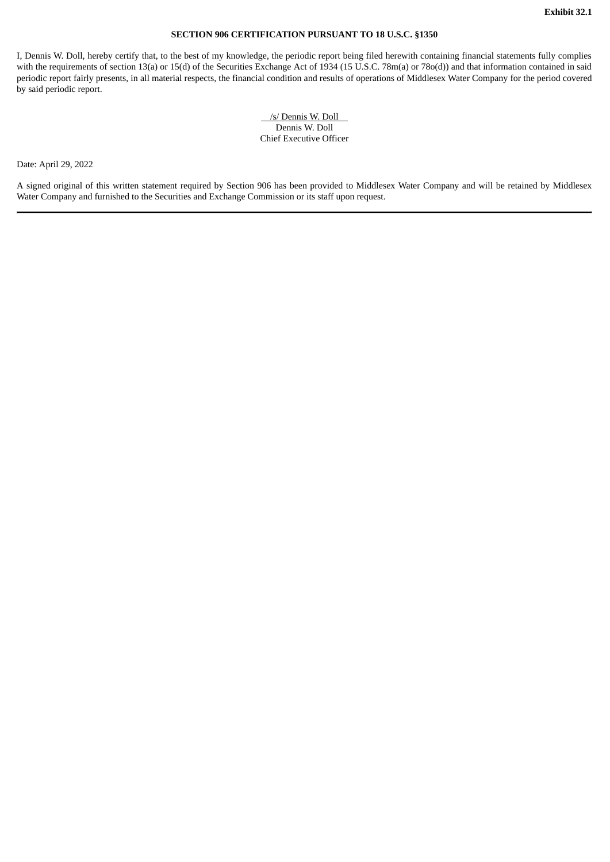### **SECTION 906 CERTIFICATION PURSUANT TO 18 U.S.C. §1350**

<span id="page-29-0"></span>I, Dennis W. Doll, hereby certify that, to the best of my knowledge, the periodic report being filed herewith containing financial statements fully complies with the requirements of section 13(a) or 15(d) of the Securities Exchange Act of 1934 (15 U.S.C. 78m(a) or 78o(d)) and that information contained in said periodic report fairly presents, in all material respects, the financial condition and results of operations of Middlesex Water Company for the period covered by said periodic report.

> /s/ Dennis W. Doll Dennis W. Doll Chief Executive Officer

Date: April 29, 2022

A signed original of this written statement required by Section 906 has been provided to Middlesex Water Company and will be retained by Middlesex Water Company and furnished to the Securities and Exchange Commission or its staff upon request.